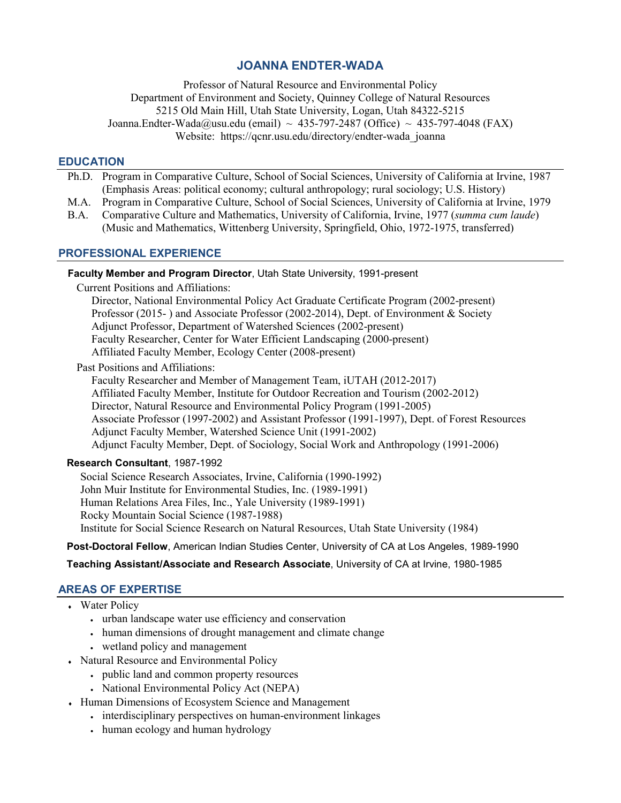# **JOANNA ENDTER-WADA**

Professor of Natural Resource and Environmental Policy Department of Environment and Society, Quinney College of Natural Resources 5215 Old Main Hill, Utah State University, Logan, Utah 84322-5215 [Joanna.Endter-Wada@usu.edu](mailto:Joanna.Endter-Wada@usu.edu) (email) ~ 435-797-2487 (Office) ~ 435-797-4048 (FAX) Website: https://qcnr.usu.edu/directory/endter-wada\_joanna

### **EDUCATION**

- Ph.D. Program in Comparative Culture, School of Social Sciences, University of California at Irvine, 1987 (Emphasis Areas: political economy; cultural anthropology; rural sociology; U.S. History)
- M.A. Program in Comparative Culture, School of Social Sciences, University of California at Irvine, 1979
- B.A. Comparative Culture and Mathematics, University of California, Irvine, 1977 (*summa cum laude*) (Music and Mathematics, Wittenberg University, Springfield, Ohio, 1972-1975, transferred)

# **PROFESSIONAL EXPERIENCE**

# **Faculty Member and Program Director**, Utah State University, 1991-present

Current Positions and Affiliations:

 Director, National Environmental Policy Act Graduate Certificate Program (2002-present) Professor (2015- ) and Associate Professor (2002-2014), Dept. of Environment & Society Adjunct Professor, Department of Watershed Sciences (2002-present) Faculty Researcher, Center for Water Efficient Landscaping (2000-present) Affiliated Faculty Member, Ecology Center (2008-present)

Past Positions and Affiliations:

 Faculty Researcher and Member of Management Team, iUTAH (2012-2017) Affiliated Faculty Member, Institute for Outdoor Recreation and Tourism (2002-2012) Director, Natural Resource and Environmental Policy Program (1991-2005) Associate Professor (1997-2002) and Assistant Professor (1991-1997), Dept. of Forest Resources Adjunct Faculty Member, Watershed Science Unit (1991-2002) Adjunct Faculty Member, Dept. of Sociology, Social Work and Anthropology (1991-2006)

### **Research Consultant**, 1987-1992

Social Science Research Associates, Irvine, California (1990-1992) John Muir Institute for Environmental Studies, Inc. (1989-1991) Human Relations Area Files, Inc., Yale University (1989-1991) Rocky Mountain Social Science (1987-1988) Institute for Social Science Research on Natural Resources, Utah State University (1984)

**Post-Doctoral Fellow**, American Indian Studies Center, University of CA at Los Angeles, 1989-1990

 **Teaching Assistant/Associate and Research Associate**, University of CA at Irvine, 1980-1985

## **AREAS OF EXPERTISE**

- Water Policy
	- urban landscape water use efficiency and conservation
	- human dimensions of drought management and climate change
	- wetland policy and management
- Natural Resource and Environmental Policy
	- public land and common property resources
	- National Environmental Policy Act (NEPA)
- ♦ Human Dimensions of Ecosystem Science and Management
	- interdisciplinary perspectives on human-environment linkages
		- human ecology and human hydrology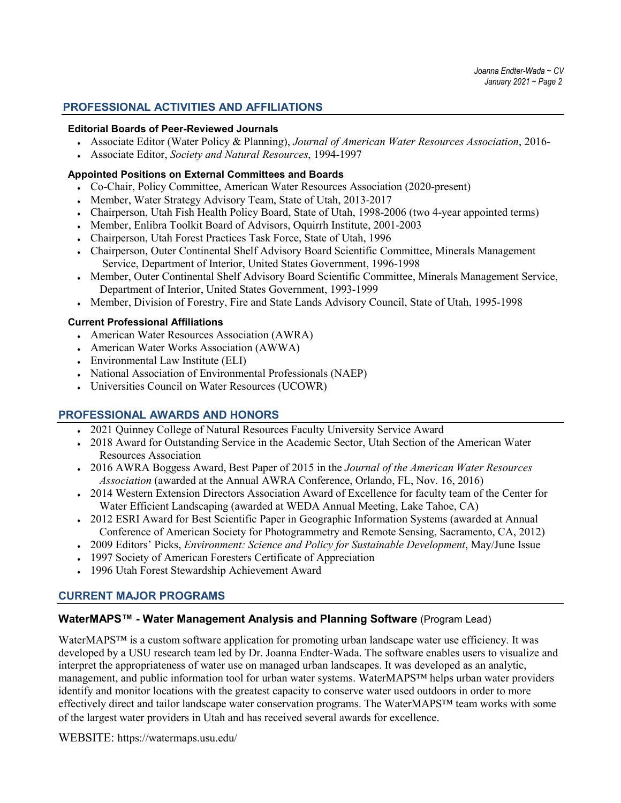### **PROFESSIONAL ACTIVITIES AND AFFILIATIONS**

#### **Editorial Boards of Peer-Reviewed Journals**

- ♦ Associate Editor (Water Policy & Planning), *Journal of American Water Resources Association*, 2016-
- ♦ Associate Editor, *Society and Natural Resources*, 1994-1997

#### **Appointed Positions on External Committees and Boards**

- ♦ Co-Chair, Policy Committee, American Water Resources Association (2020-present)
- Member, Water Strategy Advisory Team, State of Utah, 2013-2017
- Chairperson, Utah Fish Health Policy Board, State of Utah, 1998-2006 (two 4-year appointed terms)
- Member, Enlibra Toolkit Board of Advisors, Oquirrh Institute, 2001-2003
- Chairperson, Utah Forest Practices Task Force, State of Utah, 1996
- ♦ Chairperson, Outer Continental Shelf Advisory Board Scientific Committee, Minerals Management Service, Department of Interior, United States Government, 1996-1998
- ♦ Member, Outer Continental Shelf Advisory Board Scientific Committee, Minerals Management Service, Department of Interior, United States Government, 1993-1999
- Member, Division of Forestry, Fire and State Lands Advisory Council, State of Utah, 1995-1998

#### **Current Professional Affiliations**

- ♦ American Water Resources Association (AWRA)
- American Water Works Association (AWWA)
- Environmental Law Institute (ELI)
- ♦ National Association of Environmental Professionals (NAEP)
- ♦ Universities Council on Water Resources (UCOWR)

### **PROFESSIONAL AWARDS AND HONORS**

- 2021 Quinney College of Natural Resources Faculty University Service Award
- 2018 Award for Outstanding Service in the Academic Sector, Utah Section of the American Water Resources Association
- ♦ 2016 AWRA Boggess Award, Best Paper of 2015 in the *Journal of the American Water Resources Association* (awarded at the Annual AWRA Conference, Orlando, FL, Nov. 16, 2016)
- 2014 Western Extension Directors Association Award of Excellence for faculty team of the Center for Water Efficient Landscaping (awarded at WEDA Annual Meeting, Lake Tahoe, CA)
- ♦ 2012 ESRI Award for Best Scientific Paper in Geographic Information Systems (awarded at Annual Conference of American Society for Photogrammetry and Remote Sensing, Sacramento, CA, 2012)
- ♦ 2009 Editors' Picks, *Environment: Science and Policy for Sustainable Development*, May/June Issue
- 1997 Society of American Foresters Certificate of Appreciation
- 1996 Utah Forest Stewardship Achievement Award

## **CURRENT MAJOR PROGRAMS**

### **WaterMAPS™ - Water Management Analysis and Planning Software** (Program Lead)

WaterMAPS™ is a custom software application for promoting urban landscape water use efficiency. It was developed by a USU research team led by Dr. Joanna Endter-Wada. The software enables users to visualize and interpret the appropriateness of water use on managed urban landscapes. It was developed as an analytic, management, and public information tool for urban water systems. WaterMAPS™ helps urban water providers identify and monitor locations with the greatest capacity to conserve water used outdoors in order to more effectively direct and tailor landscape water conservation programs. The WaterMAPS™ team works with some of the largest water providers in Utah and has received several awards for excellence.

WEBSITE: https://watermaps.usu.edu/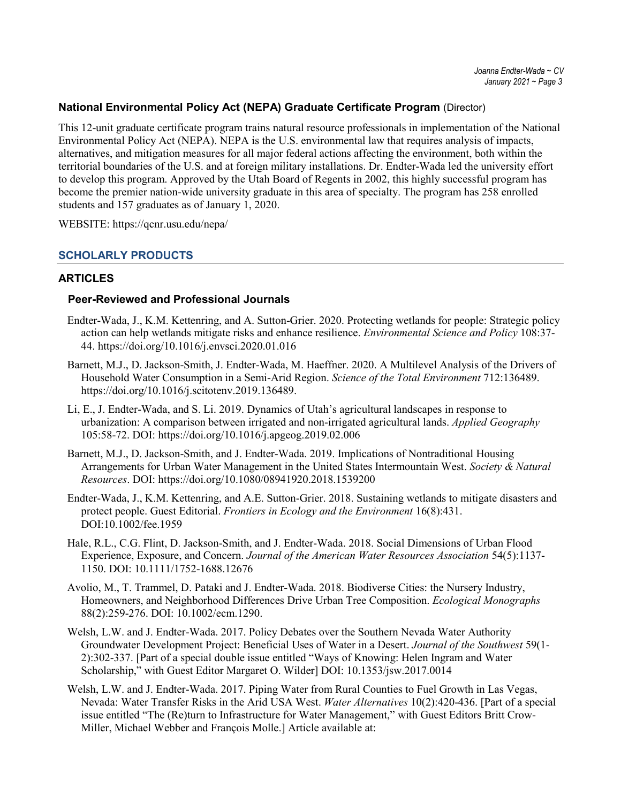### **National Environmental Policy Act (NEPA) Graduate Certificate Program** (Director)

This 12-unit graduate certificate program trains natural resource professionals in implementation of the National Environmental Policy Act (NEPA). NEPA is the U.S. environmental law that requires analysis of impacts, alternatives, and mitigation measures for all major federal actions affecting the environment, both within the territorial boundaries of the U.S. and at foreign military installations. Dr. Endter-Wada led the university effort to develop this program. Approved by the Utah Board of Regents in 2002, this highly successful program has become the premier nation-wide university graduate in this area of specialty. The program has 258 enrolled students and 157 graduates as of January 1, 2020.

WEBSITE:<https://qcnr.usu.edu/nepa/>

### **SCHOLARLY PRODUCTS**

## **ARTICLES**

### **Peer-Reviewed and Professional Journals**

- Endter-Wada, J., K.M. Kettenring, and A. Sutton-Grier. 2020. Protecting wetlands for people: Strategic policy action can help wetlands mitigate risks and enhance resilience. *Environmental Science and Policy* 108:37- 44. https://doi.org/10.1016/j.envsci.2020.01.016
- Barnett, M.J., D. Jackson-Smith, J. Endter-Wada, M. Haeffner. 2020. A Multilevel Analysis of the Drivers of Household Water Consumption in a Semi-Arid Region. *Science of the Total Environment* 712:136489. https://doi.org/10.1016/j.scitotenv.2019.136489.
- Li, E., J. Endter-Wada, and S. Li. 2019. Dynamics of Utah's agricultural landscapes in response to urbanization: A comparison between irrigated and non-irrigated agricultural lands. *Applied Geography* 105:58-72. DOI:<https://doi.org/10.1016/j.apgeog.2019.02.006>
- Barnett, M.J., D. Jackson-Smith, and J. Endter-Wada. 2019. Implications of Nontraditional Housing Arrangements for Urban Water Management in the United States Intermountain West. *Society & Natural Resources*. DOI:<https://doi.org/10.1080/08941920.2018.1539200>
- Endter-Wada, J., K.M. Kettenring, and A.E. Sutton-Grier. 2018. Sustaining wetlands to mitigate disasters and protect people. Guest Editorial. *Frontiers in Ecology and the Environment* 16(8):431. DOI:10.1002/fee.1959
- Hale, R.L., C.G. Flint, D. Jackson-Smith, and J. Endter-Wada. 2018. Social Dimensions of Urban Flood Experience, Exposure, and Concern. *Journal of the American Water Resources Association* 54(5):1137- 1150. DOI: 10.1111/1752-1688.12676
- Avolio, M., T. Trammel, D. Pataki and J. Endter-Wada. 2018. Biodiverse Cities: the Nursery Industry, Homeowners, and Neighborhood Differences Drive Urban Tree Composition. *Ecological Monographs* 88(2):259-276. DOI: 10.1002/ecm.1290.
- Welsh, L.W. and J. Endter-Wada. 2017. Policy Debates over the Southern Nevada Water Authority Groundwater Development Project: Beneficial Uses of Water in a Desert. *Journal of the Southwest* 59(1- 2):302-337. [Part of a special double issue entitled "Ways of Knowing: Helen Ingram and Water Scholarship," with Guest Editor Margaret O. Wilder] DOI: 10.1353/jsw.2017.0014
- Welsh, L.W. and J. Endter-Wada. 2017. Piping Water from Rural Counties to Fuel Growth in Las Vegas, Nevada: Water Transfer Risks in the Arid USA West. *Water Alternatives* 10(2):420-436. [Part of a special issue entitled "The (Re)turn to Infrastructure for Water Management," with Guest Editors Britt Crow-Miller, Michael Webber and François Molle.] Article available at: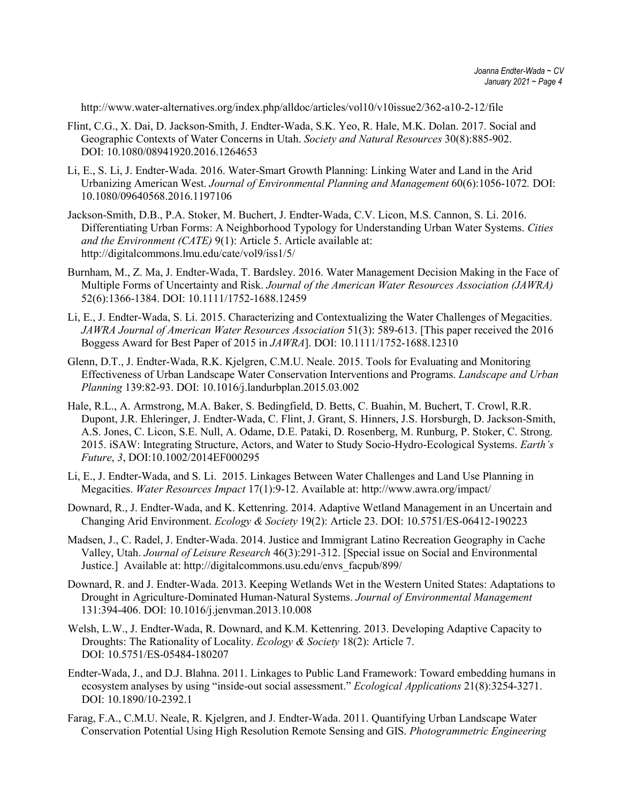http://www.water-alternatives.org/index.php/alldoc/articles/vol10/v10issue2/362-a10-2-12/file

- Flint, C.G., X. Dai, D. Jackson-Smith, J. Endter-Wada, S.K. Yeo, R. Hale, M.K. Dolan. 2017. Social and Geographic Contexts of Water Concerns in Utah. *Society and Natural Resources* 30(8):885-902. DOI: 10.1080/08941920.2016.1264653
- Li, E., S. Li, J. Endter-Wada. 2016. Water-Smart Growth Planning: Linking Water and Land in the Arid Urbanizing American West. *Journal of Environmental Planning and Management* 60(6):1056-1072*.* DOI: [10.1080/09640568.2016.1197106](http://dx.doi.org/10.1080/09640568.2016.1197106)
- Jackson-Smith, D.B., P.A. Stoker, M. Buchert, J. Endter-Wada, C.V. Licon, M.S. Cannon, S. Li. 2016. Differentiating Urban Forms: A Neighborhood Typology for Understanding Urban Water Systems. *Cities and the Environment (CATE)* 9(1): Article 5. Article available at: http://digitalcommons.lmu.edu/cate/vol9/iss1/5/
- Burnham, M., Z. Ma, J. Endter-Wada, T. Bardsley. 2016. Water Management Decision Making in the Face of Multiple Forms of Uncertainty and Risk. *Journal of the American Water Resources Association (JAWRA)*  52(6):1366-1384. DOI: 10.1111/1752-1688.12459
- Li, E., J. Endter-Wada, S. Li. 2015. Characterizing and Contextualizing the Water Challenges of Megacities. *JAWRA Journal of American Water Resources Association* 51(3): 589-613. [This paper received the 2016 Boggess Award for Best Paper of 2015 in *JAWRA*]. DOI: 10.1111/1752-1688.12310
- Glenn, D.T., J. Endter-Wada, R.K. Kjelgren, C.M.U. Neale. 2015. Tools for Evaluating and Monitoring Effectiveness of Urban Landscape Water Conservation Interventions and Programs. *Landscape and Urban Planning* 139:82-93. DOI: 10.1016/j.landurbplan.2015.03.002
- Hale, R.L., A. Armstrong, M.A. Baker, S. Bedingfield, D. Betts, C. Buahin, M. Buchert, T. Crowl, R.R. Dupont, J.R. Ehleringer, J. Endter-Wada, C. Flint, J. Grant, S. Hinners, J.S. Horsburgh, D. Jackson-Smith, A.S. Jones, C. Licon, S.E. Null, A. Odame, D.E. Pataki, D. Rosenberg, M. Runburg, P. Stoker, C. Strong. 2015. iSAW: Integrating Structure, Actors, and Water to Study Socio-Hydro-Ecological Systems. *Earth's Future*, *3*, DOI:10.1002/2014EF000295
- Li, E., J. Endter-Wada, and S. Li. 2015. Linkages Between Water Challenges and Land Use Planning in Megacities. *Water Resources Impact* 17(1):9-12. Available at: http://www.awra.org/impact/
- Downard, R., J. Endter-Wada, and K. Kettenring. 2014. Adaptive Wetland Management in an Uncertain and Changing Arid Environment. *Ecology & Society* 19(2): Article 23. DOI: 10.5751/ES-06412-190223
- Madsen, J., C. Radel, J. Endter-Wada. 2014. Justice and Immigrant Latino Recreation Geography in Cache Valley, Utah. *Journal of Leisure Research* 46(3):291-312. [Special issue on Social and Environmental Justice.] Available at: http://digitalcommons.usu.edu/envs\_facpub/899/
- Downard, R. and J. Endter-Wada. 2013. Keeping Wetlands Wet in the Western United States: Adaptations to Drought in Agriculture-Dominated Human-Natural Systems. *Journal of Environmental Management* 131:394-406. DOI: 10.1016/j.jenvman.2013.10.008
- Welsh, L.W., J. Endter-Wada, R. Downard, and K.M. Kettenring. 2013. Developing Adaptive Capacity to Droughts: The Rationality of Locality. *Ecology & Society* 18(2): Article 7. DOI: 10.5751/ES-05484-180207
- Endter-Wada, J., and D.J. Blahna. 2011. Linkages to Public Land Framework: Toward embedding humans in ecosystem analyses by using "inside-out social assessment." *Ecological Applications* 21(8):3254-3271. DOI: 10.1890/10-2392.1
- Farag, F.A., C.M.U. Neale, R. Kjelgren, and J. Endter-Wada. 2011. Quantifying Urban Landscape Water Conservation Potential Using High Resolution Remote Sensing and GIS. *Photogrammetric Engineering*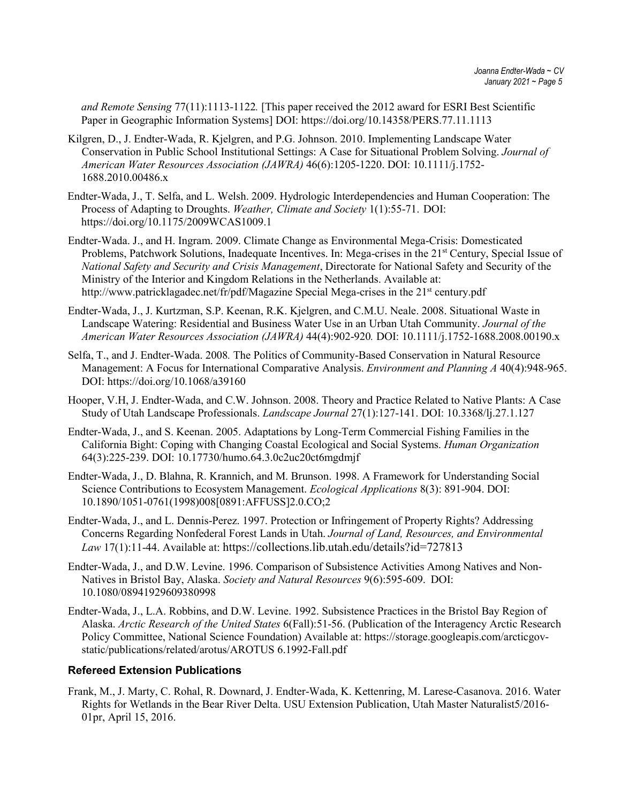*and Remote Sensing* 77(11):1113-1122*.* [This paper received the 2012 award for ESRI Best Scientific Paper in Geographic Information Systems] DOI:<https://doi.org/10.14358/PERS.77.11.1113>

- Kilgren, D., J. Endter-Wada, R. Kjelgren, and P.G. Johnson. 2010. Implementing Landscape Water Conservation in Public School Institutional Settings: A Case for Situational Problem Solving. *Journal of American Water Resources Association (JAWRA)* 46(6):1205-1220. DOI: 10.1111/j.1752- 1688.2010.00486.x
- Endter-Wada, J., T. Selfa, and L. Welsh. 2009. Hydrologic Interdependencies and Human Cooperation: The Process of Adapting to Droughts. *Weather, Climate and Society* 1(1):55-71. DOI: <https://doi.org/10.1175/2009WCAS1009.1>
- Endter-Wada. J., and H. Ingram. 2009. Climate Change as Environmental Mega-Crisis: Domesticated Problems, Patchwork Solutions, Inadequate Incentives. In: Mega-crises in the 21<sup>st</sup> Century, Special Issue of *National Safety and Security and Crisis Management*, Directorate for National Safety and Security of the Ministry of the Interior and Kingdom Relations in the Netherlands. Available at: http://www.patricklagadec.net/fr/pdf/Magazine Special Mega-crises in the 21<sup>st</sup> century.pdf
- Endter-Wada, J., J. Kurtzman, S.P. Keenan, R.K. Kjelgren, and C.M.U. Neale. 2008. Situational Waste in Landscape Watering: Residential and Business Water Use in an Urban Utah Community. *Journal of the American Water Resources Association (JAWRA)* 44(4):902-920*.* DOI: 10.1111/j.1752-1688.2008.00190.x
- Selfa, T., and J. Endter-Wada. 2008*.* The Politics of Community-Based Conservation in Natural Resource Management: A Focus for International Comparative Analysis. *Environment and Planning A* 40(4):948-965. DOI:<https://doi.org/10.1068/a39160>
- Hooper, V.H, J. Endter-Wada, and C.W. Johnson. 2008. Theory and Practice Related to Native Plants: A Case Study of Utah Landscape Professionals. *Landscape Journal* 27(1):127-141. DOI: 10.3368/lj.27.1.127
- Endter-Wada, J., and S. Keenan. 2005. Adaptations by Long-Term Commercial Fishing Families in the California Bight: Coping with Changing Coastal Ecological and Social Systems. *Human Organization*  64(3):225-239. DOI: 10.17730/humo.64.3.0c2uc20ct6mgdmjf
- Endter-Wada, J., D. Blahna, R. Krannich, and M. Brunson. 1998. A Framework for Understanding Social Science Contributions to Ecosystem Management. *Ecological Applications* 8(3): 891-904. DOI: 10.1890/1051-0761(1998)008[0891:AFFUSS]2.0.CO;2
- Endter-Wada, J., and L. Dennis-Perez. 1997. Protection or Infringement of Property Rights? Addressing Concerns Regarding Nonfederal Forest Lands in Utah. *Journal of Land, Resources, and Environmental Law* 17(1):11-44. Available at[: https://collections.lib.utah.edu/details?id=727813](https://collections.lib.utah.edu/details?id=727813)
- Endter-Wada, J., and D.W. Levine. 1996. Comparison of Subsistence Activities Among Natives and Non-Natives in Bristol Bay, Alaska. *Society and Natural Resources* 9(6):595-609. DOI: 10.1080/08941929609380998
- Endter-Wada, J., L.A. Robbins, and D.W. Levine. 1992. Subsistence Practices in the Bristol Bay Region of Alaska. *Arctic Research of the United States* 6(Fall):51-56. (Publication of the Interagency Arctic Research Policy Committee, National Science Foundation) Available at: [https://storage.googleapis.com/arcticgov](https://storage.googleapis.com/arcticgov-static/publications/related/arotus/AROTUS%206.1992-Fall.pdf)[static/publications/related/arotus/AROTUS 6.1992-Fall.pdf](https://storage.googleapis.com/arcticgov-static/publications/related/arotus/AROTUS%206.1992-Fall.pdf)

### **Refereed Extension Publications**

Frank, M., J. Marty, C. Rohal, R. Downard, J. Endter-Wada, K. Kettenring, M. Larese-Casanova. 2016. Water Rights for Wetlands in the Bear River Delta. USU Extension Publication, Utah Master Naturalist5/2016- 01pr, April 15, 2016.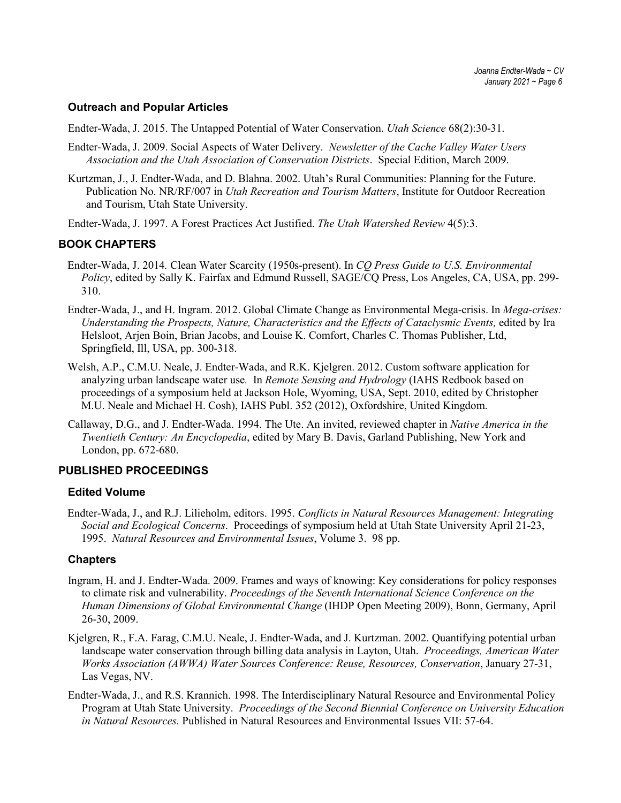### **Outreach and Popular Articles**

Endter-Wada, J. 2015. The Untapped Potential of Water Conservation. *Utah Science* 68(2):30-31.

- Endter-Wada, J. 2009. Social Aspects of Water Delivery. *Newsletter of the Cache Valley Water Users Association and the Utah Association of Conservation Districts*. Special Edition, March 2009.
- Kurtzman, J., J. Endter-Wada, and D. Blahna. 2002. Utah's Rural Communities: Planning for the Future. Publication No. NR/RF/007 in *Utah Recreation and Tourism Matters*, Institute for Outdoor Recreation and Tourism, Utah State University.
- Endter-Wada, J. 1997. A Forest Practices Act Justified. *The Utah Watershed Review* 4(5):3.

### **BOOK CHAPTERS**

- Endter-Wada, J. 2014*.* Clean Water Scarcity (1950s-present). In *CQ Press Guide to U.S. Environmental Policy*, edited by Sally K. Fairfax and Edmund Russell, SAGE/CQ Press, Los Angeles, CA, USA, pp. 299- 310.
- Endter-Wada, J., and H. Ingram. 2012. Global Climate Change as Environmental Mega-crisis. In *Mega-crises:*  Understanding the Prospects, Nature, Characteristics and the Effects of Cataclysmic Events, edited by Ira Helsloot, Arjen Boin, Brian Jacobs, and Louise K. Comfort, Charles C. Thomas Publisher, Ltd, Springfield, Ill, USA, pp. 300-318.
- Welsh, A.P., C.M.U. Neale, J. Endter-Wada, and R.K. Kjelgren. 2012. Custom software application for analyzing urban landscape water use*.* In *Remote Sensing and Hydrology* (IAHS Redbook based on proceedings of a symposium held at Jackson Hole, Wyoming, USA, Sept. 2010, edited by Christopher M.U. Neale and Michael H. Cosh), IAHS Publ. 352 (2012), Oxfordshire, United Kingdom.
- Callaway, D.G., and J. Endter-Wada. 1994. The Ute. An invited, reviewed chapter in *Native America in the Twentieth Century: An Encyclopedia*, edited by Mary B. Davis, Garland Publishing, New York and London, pp. 672-680.

### **PUBLISHED PROCEEDINGS**

### **Edited Volume**

Endter-Wada, J., and R.J. Lilieholm, editors. 1995. *Conflicts in Natural Resources Management: Integrating Social and Ecological Concerns*. Proceedings of symposium held at Utah State University April 21-23, 1995. *Natural Resources and Environmental Issues*, Volume 3. 98 pp.

### **Chapters**

- Ingram, H. and J. Endter-Wada. 2009. Frames and ways of knowing: Key considerations for policy responses to climate risk and vulnerability. *Proceedings of the Seventh International Science Conference on the Human Dimensions of Global Environmental Change* (IHDP Open Meeting 2009), Bonn, Germany, April 26-30, 2009.
- Kjelgren, R., F.A. Farag, C.M.U. Neale, J. Endter-Wada, and J. Kurtzman. 2002. Quantifying potential urban landscape water conservation through billing data analysis in Layton, Utah. *Proceedings, American Water Works Association (AWWA) Water Sources Conference: Reuse, Resources, Conservation*, January 27-31, Las Vegas, NV.
- Endter-Wada, J., and R.S. Krannich. 1998. The Interdisciplinary Natural Resource and Environmental Policy Program at Utah State University. *Proceedings of the Second Biennial Conference on University Education in Natural Resources.* Published in Natural Resources and Environmental Issues VII: 57-64.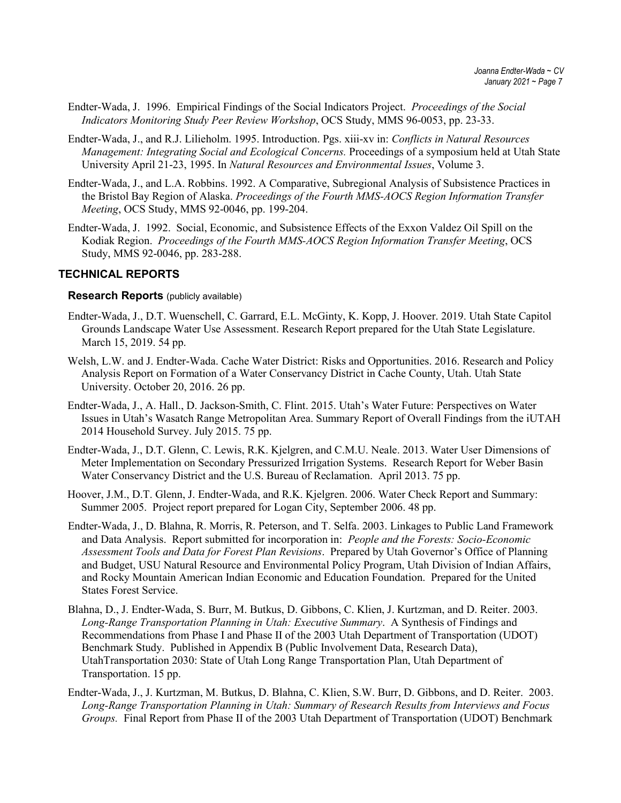- Endter-Wada, J. 1996. Empirical Findings of the Social Indicators Project. *Proceedings of the Social Indicators Monitoring Study Peer Review Workshop*, OCS Study, MMS 96-0053, pp. 23-33.
- Endter-Wada, J., and R.J. Lilieholm. 1995. Introduction. Pgs. xiii-xv in: *Conflicts in Natural Resources Management: Integrating Social and Ecological Concerns.* Proceedings of a symposium held at Utah State University April 21-23, 1995. In *Natural Resources and Environmental Issues*, Volume 3.
- Endter-Wada, J., and L.A. Robbins. 1992. A Comparative, Subregional Analysis of Subsistence Practices in the Bristol Bay Region of Alaska. *Proceedings of the Fourth MMS-AOCS Region Information Transfer Meeting*, OCS Study, MMS 92-0046, pp. 199-204.
- Endter-Wada, J. 1992. Social, Economic, and Subsistence Effects of the Exxon Valdez Oil Spill on the Kodiak Region. *Proceedings of the Fourth MMS-AOCS Region Information Transfer Meeting*, OCS Study, MMS 92-0046, pp. 283-288.

### **TECHNICAL REPORTS**

#### **Research Reports** (publicly available)

- Endter-Wada, J., D.T. Wuenschell, C. Garrard, E.L. McGinty, K. Kopp, J. Hoover. 2019. Utah State Capitol Grounds Landscape Water Use Assessment. Research Report prepared for the Utah State Legislature. March 15, 2019. 54 pp.
- Welsh, L.W. and J. Endter-Wada. Cache Water District: Risks and Opportunities. 2016. Research and Policy Analysis Report on Formation of a Water Conservancy District in Cache County, Utah. Utah State University. October 20, 2016. 26 pp.
- Endter-Wada, J., A. Hall., D. Jackson-Smith, C. Flint. 2015. Utah's Water Future: Perspectives on Water Issues in Utah's Wasatch Range Metropolitan Area. Summary Report of Overall Findings from the iUTAH 2014 Household Survey. July 2015. 75 pp.
- Endter-Wada, J., D.T. Glenn, C. Lewis, R.K. Kjelgren, and C.M.U. Neale. 2013. Water User Dimensions of Meter Implementation on Secondary Pressurized Irrigation Systems. Research Report for Weber Basin Water Conservancy District and the U.S. Bureau of Reclamation. April 2013. 75 pp.
- Hoover, J.M., D.T. Glenn, J. Endter-Wada, and R.K. Kjelgren. 2006. Water Check Report and Summary: Summer 2005. Project report prepared for Logan City, September 2006. 48 pp.
- Endter-Wada, J., D. Blahna, R. Morris, R. Peterson, and T. Selfa. 2003. Linkages to Public Land Framework and Data Analysis. Report submitted for incorporation in: *People and the Forests: Socio-Economic Assessment Tools and Data for Forest Plan Revisions*. Prepared by Utah Governor's Office of Planning and Budget, USU Natural Resource and Environmental Policy Program, Utah Division of Indian Affairs, and Rocky Mountain American Indian Economic and Education Foundation. Prepared for the United States Forest Service.
- Blahna, D., J. Endter-Wada, S. Burr, M. Butkus, D. Gibbons, C. Klien, J. Kurtzman, and D. Reiter. 2003. *Long-Range Transportation Planning in Utah: Executive Summary*. A Synthesis of Findings and Recommendations from Phase I and Phase II of the 2003 Utah Department of Transportation (UDOT) Benchmark Study. Published in Appendix B (Public Involvement Data, Research Data), UtahTransportation 2030: State of Utah Long Range Transportation Plan, Utah Department of Transportation. 15 pp.
- Endter-Wada, J., J. Kurtzman, M. Butkus, D. Blahna, C. Klien, S.W. Burr, D. Gibbons, and D. Reiter. 2003. *Long-Range Transportation Planning in Utah: Summary of Research Results from Interviews and Focus Groups.* Final Report from Phase II of the 2003 Utah Department of Transportation (UDOT) Benchmark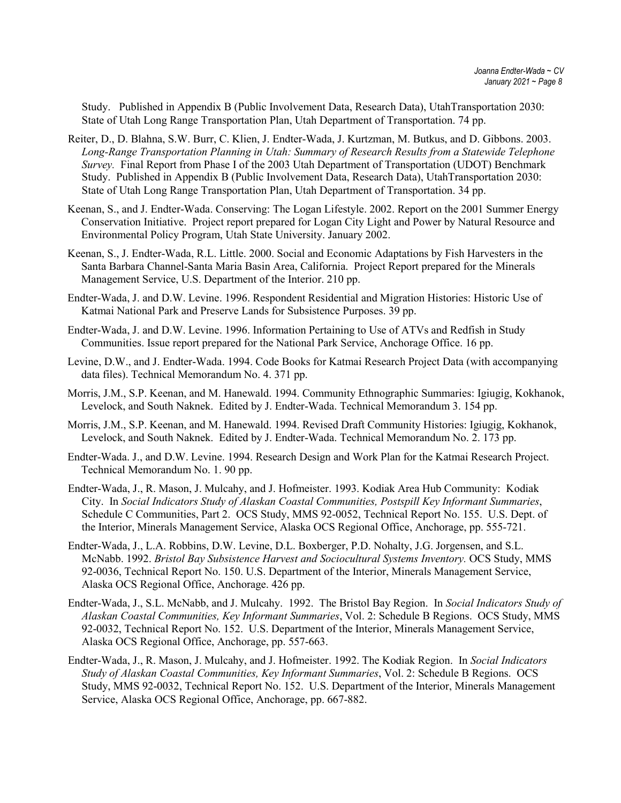Study. Published in Appendix B (Public Involvement Data, Research Data), UtahTransportation 2030: State of Utah Long Range Transportation Plan, Utah Department of Transportation. 74 pp.

- Reiter, D., D. Blahna, S.W. Burr, C. Klien, J. Endter-Wada, J. Kurtzman, M. Butkus, and D. Gibbons. 2003. *Long-Range Transportation Planning in Utah: Summary of Research Results from a Statewide Telephone Survey.* Final Report from Phase I of the 2003 Utah Department of Transportation (UDOT) Benchmark Study. Published in Appendix B (Public Involvement Data, Research Data), UtahTransportation 2030: State of Utah Long Range Transportation Plan, Utah Department of Transportation. 34 pp.
- Keenan, S., and J. Endter-Wada. Conserving: The Logan Lifestyle. 2002. Report on the 2001 Summer Energy Conservation Initiative. Project report prepared for Logan City Light and Power by Natural Resource and Environmental Policy Program, Utah State University. January 2002.
- Keenan, S., J. Endter-Wada, R.L. Little. 2000. Social and Economic Adaptations by Fish Harvesters in the Santa Barbara Channel-Santa Maria Basin Area, California. Project Report prepared for the Minerals Management Service, U.S. Department of the Interior. 210 pp.
- Endter-Wada, J. and D.W. Levine. 1996. Respondent Residential and Migration Histories: Historic Use of Katmai National Park and Preserve Lands for Subsistence Purposes. 39 pp.
- Endter-Wada, J. and D.W. Levine. 1996. Information Pertaining to Use of ATVs and Redfish in Study Communities. Issue report prepared for the National Park Service, Anchorage Office. 16 pp.
- Levine, D.W., and J. Endter-Wada. 1994. Code Books for Katmai Research Project Data (with accompanying data files). Technical Memorandum No. 4. 371 pp.
- Morris, J.M., S.P. Keenan, and M. Hanewald. 1994. Community Ethnographic Summaries: Igiugig, Kokhanok, Levelock, and South Naknek. Edited by J. Endter-Wada. Technical Memorandum 3. 154 pp.
- Morris, J.M., S.P. Keenan, and M. Hanewald. 1994. Revised Draft Community Histories: Igiugig, Kokhanok, Levelock, and South Naknek. Edited by J. Endter-Wada. Technical Memorandum No. 2. 173 pp.
- Endter-Wada. J., and D.W. Levine. 1994. Research Design and Work Plan for the Katmai Research Project. Technical Memorandum No. 1. 90 pp.
- Endter-Wada, J., R. Mason, J. Mulcahy, and J. Hofmeister. 1993. Kodiak Area Hub Community: Kodiak City. In *Social Indicators Study of Alaskan Coastal Communities, Postspill Key Informant Summaries*, Schedule C Communities, Part 2. OCS Study, MMS 92-0052, Technical Report No. 155. U.S. Dept. of the Interior, Minerals Management Service, Alaska OCS Regional Office, Anchorage, pp. 555-721.
- Endter-Wada, J., L.A. Robbins, D.W. Levine, D.L. Boxberger, P.D. Nohalty, J.G. Jorgensen, and S.L. McNabb. 1992. *Bristol Bay Subsistence Harvest and Sociocultural Systems Inventory.* OCS Study, MMS 92-0036, Technical Report No. 150. U.S. Department of the Interior, Minerals Management Service, Alaska OCS Regional Office, Anchorage. 426 pp.
- Endter-Wada, J., S.L. McNabb, and J. Mulcahy. 1992. The Bristol Bay Region. In *Social Indicators Study of Alaskan Coastal Communities, Key Informant Summaries*, Vol. 2: Schedule B Regions. OCS Study, MMS 92-0032, Technical Report No. 152. U.S. Department of the Interior, Minerals Management Service, Alaska OCS Regional Office, Anchorage, pp. 557-663.
- Endter-Wada, J., R. Mason, J. Mulcahy, and J. Hofmeister. 1992. The Kodiak Region. In *Social Indicators Study of Alaskan Coastal Communities, Key Informant Summaries*, Vol. 2: Schedule B Regions. OCS Study, MMS 92-0032, Technical Report No. 152. U.S. Department of the Interior, Minerals Management Service, Alaska OCS Regional Office, Anchorage, pp. 667-882.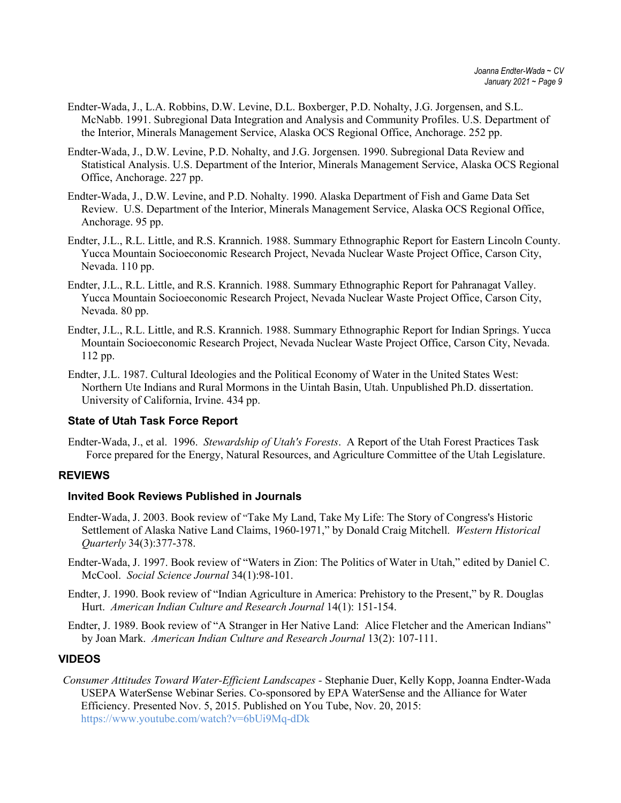- Endter-Wada, J., L.A. Robbins, D.W. Levine, D.L. Boxberger, P.D. Nohalty, J.G. Jorgensen, and S.L. McNabb. 1991. Subregional Data Integration and Analysis and Community Profiles. U.S. Department of the Interior, Minerals Management Service, Alaska OCS Regional Office, Anchorage. 252 pp.
- Endter-Wada, J., D.W. Levine, P.D. Nohalty, and J.G. Jorgensen. 1990. Subregional Data Review and Statistical Analysis. U.S. Department of the Interior, Minerals Management Service, Alaska OCS Regional Office, Anchorage. 227 pp.
- Endter-Wada, J., D.W. Levine, and P.D. Nohalty. 1990. Alaska Department of Fish and Game Data Set Review. U.S. Department of the Interior, Minerals Management Service, Alaska OCS Regional Office, Anchorage. 95 pp.
- Endter, J.L., R.L. Little, and R.S. Krannich. 1988. Summary Ethnographic Report for Eastern Lincoln County. Yucca Mountain Socioeconomic Research Project, Nevada Nuclear Waste Project Office, Carson City, Nevada. 110 pp.
- Endter, J.L., R.L. Little, and R.S. Krannich. 1988. Summary Ethnographic Report for Pahranagat Valley. Yucca Mountain Socioeconomic Research Project, Nevada Nuclear Waste Project Office, Carson City, Nevada. 80 pp.
- Endter, J.L., R.L. Little, and R.S. Krannich. 1988. Summary Ethnographic Report for Indian Springs. Yucca Mountain Socioeconomic Research Project, Nevada Nuclear Waste Project Office, Carson City, Nevada. 112 pp.
- Endter, J.L. 1987. Cultural Ideologies and the Political Economy of Water in the United States West: Northern Ute Indians and Rural Mormons in the Uintah Basin, Utah. Unpublished Ph.D. dissertation. University of California, Irvine. 434 pp.

## **State of Utah Task Force Report**

Endter-Wada, J., et al. 1996. *Stewardship of Utah's Forests*. A Report of the Utah Forest Practices Task Force prepared for the Energy, Natural Resources, and Agriculture Committee of the Utah Legislature.

## **REVIEWS**

### **Invited Book Reviews Published in Journals**

- Endter-Wada, J. 2003. Book review of "Take My Land, Take My Life: The Story of Congress's Historic Settlement of Alaska Native Land Claims, 1960-1971," by Donald Craig Mitchell. *Western Historical Quarterly* 34(3):377-378.
- Endter-Wada, J. 1997. Book review of "Waters in Zion: The Politics of Water in Utah," edited by Daniel C. McCool. *Social Science Journal* 34(1):98-101.
- Endter, J. 1990. Book review of "Indian Agriculture in America: Prehistory to the Present," by R. Douglas Hurt. *American Indian Culture and Research Journal* 14(1): 151-154.
- Endter, J. 1989. Book review of "A Stranger in Her Native Land: Alice Fletcher and the American Indians" by Joan Mark. *American Indian Culture and Research Journal* 13(2): 107-111.

### **VIDEOS**

*Consumer Attitudes Toward Water-Efficient Landscapes -* Stephanie Duer, Kelly Kopp, Joanna Endter-Wada USEPA WaterSense Webinar Series. Co-sponsored by EPA WaterSense and the Alliance for Water Efficiency. Presented Nov. 5, 2015. Published on You Tube, Nov. 20, 2015: <https://www.youtube.com/watch?v=6bUi9Mq-dDk>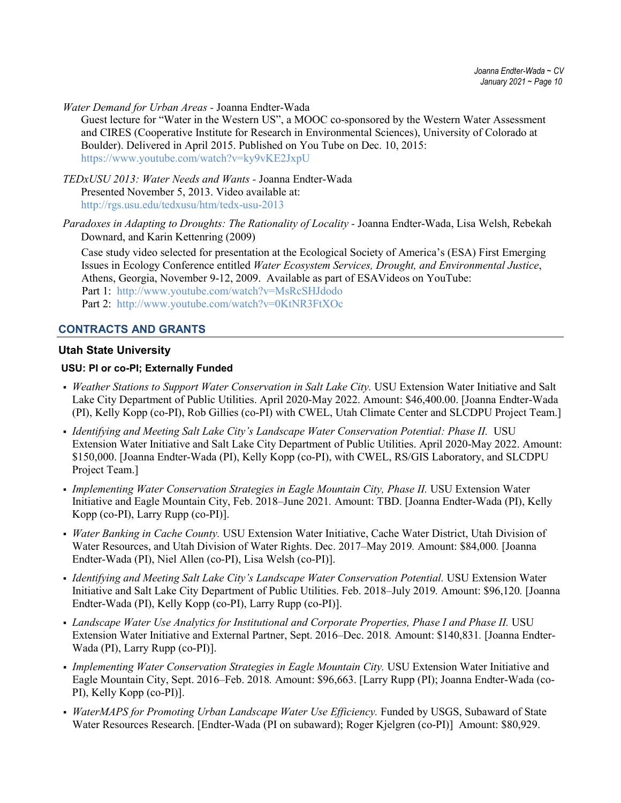*Water Demand for Urban Areas -* Joanna Endter-Wada

Guest lecture for "Water in the Western US", a MOOC co-sponsored by the Western Water Assessment and CIRES (Cooperative Institute for Research in Environmental Sciences), University of Colorado at Boulder). Delivered in April 2015. Published on You Tube on Dec. 10, 2015: <https://www.youtube.com/watch?v=ky9vKE2JxpU>

*TEDxUSU 2013: Water Needs and Wants -* Joanna Endter-Wada Presented November 5, 2013. Video available at: <http://rgs.usu.edu/tedxusu/htm/tedx-usu-2013>

*Paradoxes in Adapting to Droughts: The Rationality of Locality -* Joanna Endter-Wada, Lisa Welsh, Rebekah Downard, and Karin Kettenring (2009)

Case study video selected for presentation at the Ecological Society of America's (ESA) First Emerging Issues in Ecology Conference entitled *Water Ecosystem Services, Drought, and Environmental Justice*, Athens, Georgia, November 9-12, 2009. Available as part of ESAVideos on YouTube: Part 1: <http://www.youtube.com/watch?v=MsRcSHJdodo> Part 2: <http://www.youtube.com/watch?v=0KtNR3FtXOc>

### **CONTRACTS AND GRANTS**

### **Utah State University**

### **USU: PI or co-PI; Externally Funded**

- *Weather Stations to Support Water Conservation in Salt Lake City.* USU Extension Water Initiative and Salt Lake City Department of Public Utilities. April 2020-May 2022. Amount: \$46,400.00. [Joanna Endter-Wada (PI), Kelly Kopp (co-PI), Rob Gillies (co-PI) with CWEL, Utah Climate Center and SLCDPU Project Team.]
- *Identifying and Meeting Salt Lake City's Landscape Water Conservation Potential: Phase II.* USU Extension Water Initiative and Salt Lake City Department of Public Utilities. April 2020-May 2022. Amount: \$150,000. [Joanna Endter-Wada (PI), Kelly Kopp (co-PI), with CWEL, RS/GIS Laboratory, and SLCDPU Project Team.]
- *Implementing Water Conservation Strategies in Eagle Mountain City, Phase II.* USU Extension Water Initiative and Eagle Mountain City, Feb. 2018–June 2021*.* Amount: TBD. [Joanna Endter-Wada (PI), Kelly Kopp (co-PI), Larry Rupp (co-PI)].
- *Water Banking in Cache County.* USU Extension Water Initiative, Cache Water District, Utah Division of Water Resources, and Utah Division of Water Rights. Dec. 2017–May 2019*.* Amount: \$84,000*.* [Joanna Endter-Wada (PI), Niel Allen (co-PI), Lisa Welsh (co-PI)].
- *Identifying and Meeting Salt Lake City's Landscape Water Conservation Potential.* USU Extension Water Initiative and Salt Lake City Department of Public Utilities. Feb. 2018–July 2019*.* Amount: \$96,120*.* [Joanna Endter-Wada (PI), Kelly Kopp (co-PI), Larry Rupp (co-PI)].
- **-** Landscape Water Use Analytics for Institutional and Corporate Properties, Phase I and Phase II. USU Extension Water Initiative and External Partner, Sept. 2016–Dec. 2018*.* Amount: \$140,831*.* [Joanna Endter-Wada (PI), Larry Rupp (co-PI)].
- Implementing Water Conservation Strategies in Eagle Mountain City. USU Extension Water Initiative and Eagle Mountain City, Sept. 2016–Feb. 2018*.* Amount: \$96,663. [Larry Rupp (PI); Joanna Endter-Wada (co-PI), Kelly Kopp (co-PI)].
- WaterMAPS for Promoting Urban Landscape Water Use Efficiency. Funded by USGS, Subaward of State Water Resources Research. [Endter-Wada (PI on subaward); Roger Kjelgren (co-PI)] Amount: \$80,929.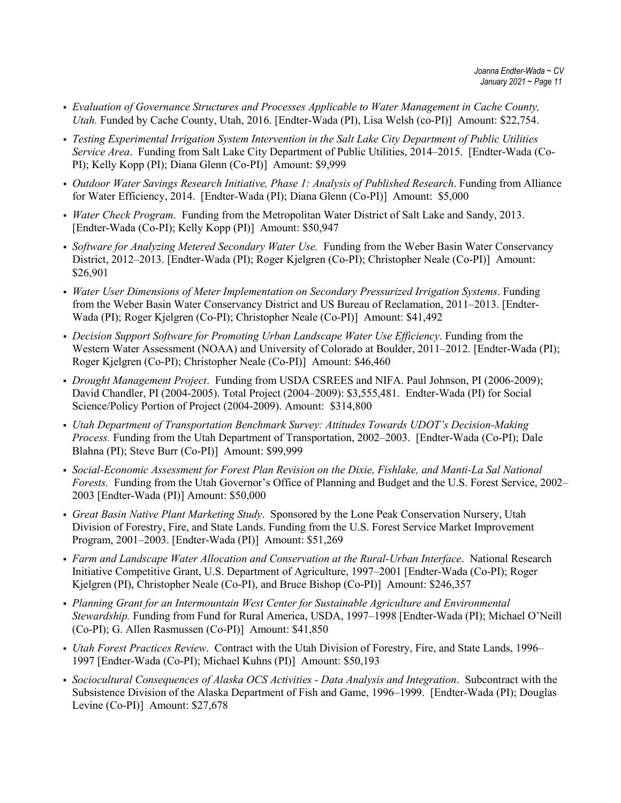- *Evaluation of Governance Structures and Processes Applicable to Water Management in Cache County, Utah.* Funded by Cache County, Utah, 2016. [Endter-Wada (PI), Lisa Welsh (co-PI)] Amount: \$22,754.
- *Testing Experimental Irrigation System Intervention in the Salt Lake City Department of Public Utilities Service Area*. Funding from Salt Lake City Department of Public Utilities, 2014–2015. [Endter-Wada (Co-PI); Kelly Kopp (PI); Diana Glenn (Co-PI)] Amount: \$9,999
- *Outdoor Water Savings Research Initiative, Phase 1: Analysis of Published Research*. Funding from Alliance for Water Efficiency, 2014. [Endter-Wada (PI); Diana Glenn (Co-PI)] Amount: \$5,000
- *Water Check Program*. Funding from the Metropolitan Water District of Salt Lake and Sandy, 2013. [Endter-Wada (Co-PI); Kelly Kopp (PI)] Amount: \$50,947
- *Software for Analyzing Metered Secondary Water Use.* Funding from the Weber Basin Water Conservancy District, 2012–2013. [Endter-Wada (PI); Roger Kjelgren (Co-PI); Christopher Neale (Co-PI)] Amount: \$26,901
- *Water User Dimensions of Meter Implementation on Secondary Pressurized Irrigation Systems*. Funding from the Weber Basin Water Conservancy District and US Bureau of Reclamation, 2011–2013. [Endter-Wada (PI); Roger Kjelgren (Co-PI); Christopher Neale (Co-PI)] Amount: \$41,492
- *Decision Support Software for Promoting Urban Landscape Water Use Efficiency*. Funding from the Western Water Assessment (NOAA) and University of Colorado at Boulder, 2011–2012. [Endter-Wada (PI); Roger Kjelgren (Co-PI); Christopher Neale (Co-PI)] Amount: \$46,460
- *Drought Management Project*. Funding from USDA CSREES and NIFA. Paul Johnson, PI (2006-2009); David Chandler, PI (2004-2005). Total Project (2004–2009): \$3,555,481. Endter-Wada (PI) for Social Science/Policy Portion of Project (2004-2009). Amount: \$314,800
- *Utah Department of Transportation Benchmark Survey: Attitudes Towards UDOT's Decision-Making Process.* Funding from the Utah Department of Transportation, 2002–2003. [Endter-Wada (Co-PI); Dale Blahna (PI); Steve Burr (Co-PI)] Amount: \$99,999
- *Social-Economic Assessment for Forest Plan Revision on the Dixie, Fishlake, and Manti-La Sal National Forests.* Funding from the Utah Governor's Office of Planning and Budget and the U.S. Forest Service, 2002– 2003 [Endter-Wada (PI)] Amount: \$50,000
- *Great Basin Native Plant Marketing Study*. Sponsored by the Lone Peak Conservation Nursery, Utah Division of Forestry, Fire, and State Lands. Funding from the U.S. Forest Service Market Improvement Program, 2001–2003. [Endter-Wada (PI)] Amount: \$51,269
- *Farm and Landscape Water Allocation and Conservation at the Rural-Urban Interface*. National Research Initiative Competitive Grant, U.S. Department of Agriculture, 1997–2001 [Endter-Wada (Co-PI); Roger Kjelgren (PI), Christopher Neale (Co-PI), and Bruce Bishop (Co-PI)] Amount: \$246,357
- *Planning Grant for an Intermountain West Center for Sustainable Agriculture and Environmental Stewardship.* Funding from Fund for Rural America, USDA, 1997–1998 [Endter-Wada (PI); Michael O'Neill (Co-PI); G. Allen Rasmussen (Co-PI)] Amount: \$41,850
- *Utah Forest Practices Review*. Contract with the Utah Division of Forestry, Fire, and State Lands, 1996– 1997 [Endter-Wada (Co-PI); Michael Kuhns (PI)] Amount: \$50,193
- *Sociocultural Consequences of Alaska OCS Activities - Data Analysis and Integration*. Subcontract with the Subsistence Division of the Alaska Department of Fish and Game, 1996–1999. [Endter-Wada (PI); Douglas Levine (Co-PI)] Amount: \$27,678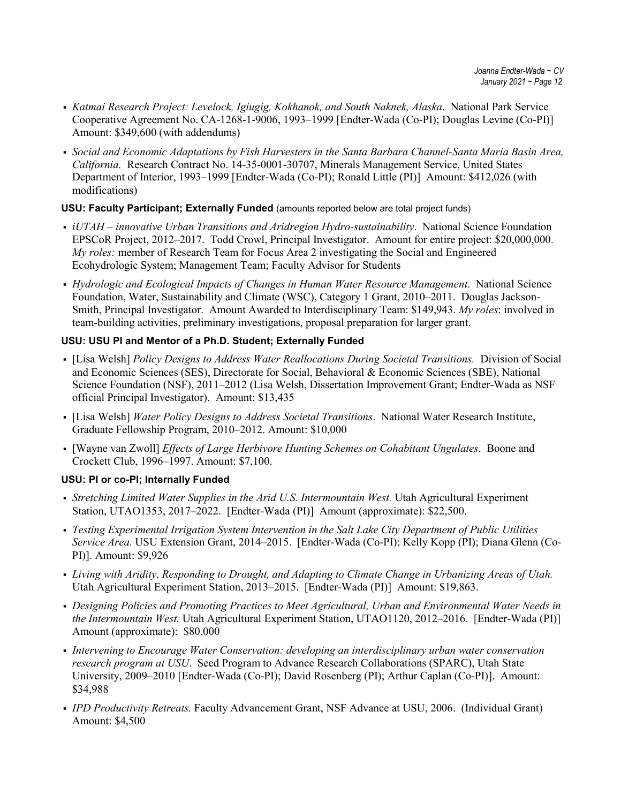- *Katmai Research Project: Levelock, Igiugig, Kokhanok, and South Naknek, Alaska*. National Park Service Cooperative Agreement No. CA-1268-1-9006, 1993–1999 [Endter-Wada (Co-PI); Douglas Levine (Co-PI)] Amount: \$349,600 (with addendums)
- *Social and Economic Adaptations by Fish Harvesters in the Santa Barbara Channel-Santa Maria Basin Area, California.* Research Contract No. 14-35-0001-30707, Minerals Management Service, United States Department of Interior, 1993–1999 [Endter-Wada (Co-PI); Ronald Little (PI)] Amount: \$412,026 (with modifications)

## **USU: Faculty Participant; Externally Funded** (amounts reported below are total project funds)

- *iUTAH – innovative Urban Transitions and Aridregion Hydro-sustainability*. National Science Foundation EPSCoR Project, 2012–2017. Todd Crowl, Principal Investigator. Amount for entire project: \$20,000,000. *My roles:* member of Research Team for Focus Area 2 investigating the Social and Engineered Ecohydrologic System; Management Team; Faculty Advisor for Students
- *Hydrologic and Ecological Impacts of Changes in Human Water Resource Management*. National Science Foundation, Water, Sustainability and Climate (WSC), Category 1 Grant, 2010–2011. Douglas Jackson-Smith, Principal Investigator. Amount Awarded to Interdisciplinary Team: \$149,943. *My roles*: involved in team-building activities, preliminary investigations, proposal preparation for larger grant.

## **USU: USU PI and Mentor of a Ph.D. Student; Externally Funded**

- [Lisa Welsh] *Policy Designs to Address Water Reallocations During Societal Transitions.* Division of Social and Economic Sciences (SES), Directorate for Social, Behavioral & Economic Sciences (SBE), National Science Foundation (NSF), 2011–2012 (Lisa Welsh, Dissertation Improvement Grant; Endter-Wada as NSF official Principal Investigator). Amount: \$13,435
- [Lisa Welsh] *Water Policy Designs to Address Societal Transitions*. National Water Research Institute, Graduate Fellowship Program, 2010–2012. Amount: \$10,000
- [Wayne van Zwoll] *Effects of Large Herbivore Hunting Schemes on Cohabitant Ungulates*. Boone and Crockett Club, 1996–1997. Amount: \$7,100.

## **USU: PI or co-PI; Internally Funded**

- *Stretching Limited Water Supplies in the Arid U.S. Intermountain West.* Utah Agricultural Experiment Station, UTAO1353, 2017–2022. [Endter-Wada (PI)] Amount (approximate): \$22,500.
- *Testing Experimental Irrigation System Intervention in the Salt Lake City Department of Public Utilities Service Area.* USU Extension Grant, 2014–2015. [Endter-Wada (Co-PI); Kelly Kopp (PI); Diana Glenn (Co-PI)]. Amount: \$9,926
- *Living with Aridity, Responding to Drought, and Adapting to Climate Change in Urbanizing Areas of Utah.*  Utah Agricultural Experiment Station, 2013–2015. [Endter-Wada (PI)] Amount: \$19,863.
- *Designing Policies and Promoting Practices to Meet Agricultural, Urban and Environmental Water Needs in the Intermountain West.* Utah Agricultural Experiment Station, UTAO1120, 2012–2016. [Endter-Wada (PI)] Amount (approximate): \$80,000
- *Intervening to Encourage Water Conservation: developing an interdisciplinary urban water conservation research program at USU*. Seed Program to Advance Research Collaborations (SPARC), Utah State University, 2009–2010 [Endter-Wada (Co-PI); David Rosenberg (PI); Arthur Caplan (Co-PI)]. Amount: \$34,988
- *IPD Productivity Retreats.* Faculty Advancement Grant, NSF Advance at USU, 2006. (Individual Grant) Amount: \$4,500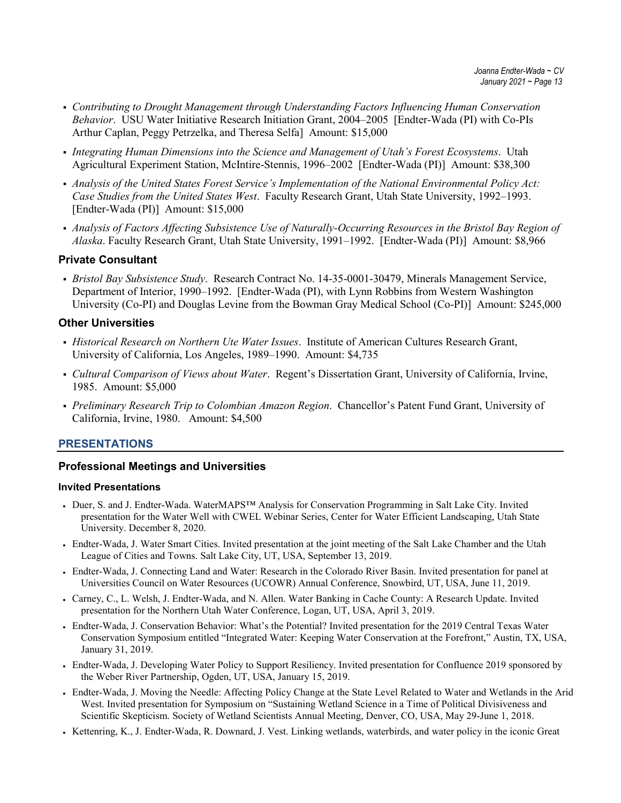- *Contributing to Drought Management through Understanding Factors Influencing Human Conservation Behavior*. USU Water Initiative Research Initiation Grant, 2004–2005 [Endter-Wada (PI) with Co-PIs Arthur Caplan, Peggy Petrzelka, and Theresa Selfa] Amount: \$15,000
- *Integrating Human Dimensions into the Science and Management of Utah's Forest Ecosystems*. Utah Agricultural Experiment Station, McIntire-Stennis, 1996–2002 [Endter-Wada (PI)] Amount: \$38,300
- *Analysis of the United States Forest Service's Implementation of the National Environmental Policy Act: Case Studies from the United States West*. Faculty Research Grant, Utah State University, 1992–1993. [Endter-Wada (PI)] Amount: \$15,000
- *Analysis of Factors Affecting Subsistence Use of Naturally-Occurring Resources in the Bristol Bay Region of Alaska*. Faculty Research Grant, Utah State University, 1991–1992. [Endter-Wada (PI)] Amount: \$8,966

### **Private Consultant**

 *Bristol Bay Subsistence Study*. Research Contract No. 14-35-0001-30479, Minerals Management Service, Department of Interior, 1990–1992. [Endter-Wada (PI), with Lynn Robbins from Western Washington University (Co-PI) and Douglas Levine from the Bowman Gray Medical School (Co-PI)] Amount: \$245,000

### **Other Universities**

- *Historical Research on Northern Ute Water Issues*. Institute of American Cultures Research Grant, University of California, Los Angeles, 1989–1990. Amount: \$4,735
- *Cultural Comparison of Views about Water*. Regent's Dissertation Grant, University of California, Irvine, 1985. Amount: \$5,000
- *Preliminary Research Trip to Colombian Amazon Region*. Chancellor's Patent Fund Grant, University of California, Irvine, 1980. Amount: \$4,500

### **PRESENTATIONS**

#### **Professional Meetings and Universities**

#### **Invited Presentations**

- Duer, S. and J. Endter-Wada. WaterMAPS™ Analysis for Conservation Programming in Salt Lake City. Invited presentation for the Water Well with CWEL Webinar Series, Center for Water Efficient Landscaping, Utah State University. December 8, 2020.
- Endter-Wada, J. Water Smart Cities. Invited presentation at the joint meeting of the Salt Lake Chamber and the Utah League of Cities and Towns. Salt Lake City, UT, USA, September 13, 2019.
- Endter-Wada, J. Connecting Land and Water: Research in the Colorado River Basin. Invited presentation for panel at Universities Council on Water Resources (UCOWR) Annual Conference, Snowbird, UT, USA, June 11, 2019.
- Carney, C., L. Welsh, J. Endter-Wada, and N. Allen. Water Banking in Cache County: A Research Update. Invited presentation for the Northern Utah Water Conference, Logan, UT, USA, April 3, 2019.
- Endter-Wada, J. Conservation Behavior: What's the Potential? Invited presentation for the 2019 Central Texas Water Conservation Symposium entitled "Integrated Water: Keeping Water Conservation at the Forefront," Austin, TX, USA, January 31, 2019.
- Endter-Wada, J. Developing Water Policy to Support Resiliency. Invited presentation for Confluence 2019 sponsored by the Weber River Partnership, Ogden, UT, USA, January 15, 2019.
- Endter-Wada, J. Moving the Needle: Affecting Policy Change at the State Level Related to Water and Wetlands in the Arid West. Invited presentation for Symposium on "Sustaining Wetland Science in a Time of Political Divisiveness and Scientific Skepticism. Society of Wetland Scientists Annual Meeting, Denver, CO, USA, May 29-June 1, 2018.
- Kettenring, K., J. Endter-Wada, R. Downard, J. Vest. Linking wetlands, waterbirds, and water policy in the iconic Great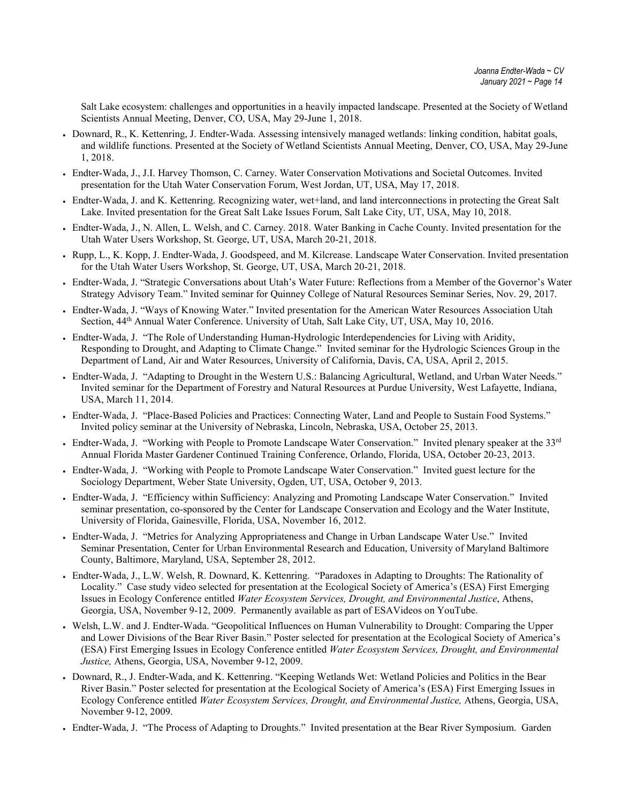Salt Lake ecosystem: challenges and opportunities in a heavily impacted landscape. Presented at the Society of Wetland Scientists Annual Meeting, Denver, CO, USA, May 29-June 1, 2018.

- Downard, R., K. Kettenring, J. Endter-Wada. Assessing intensively managed wetlands: linking condition, habitat goals, and wildlife functions. Presented at the Society of Wetland Scientists Annual Meeting, Denver, CO, USA, May 29-June 1, 2018.
- Endter-Wada, J., J.I. Harvey Thomson, C. Carney. Water Conservation Motivations and Societal Outcomes. Invited presentation for the Utah Water Conservation Forum, West Jordan, UT, USA, May 17, 2018.
- Endter-Wada, J. and K. Kettenring. Recognizing water, wet+land, and land interconnections in protecting the Great Salt Lake. Invited presentation for the Great Salt Lake Issues Forum, Salt Lake City, UT, USA, May 10, 2018.
- Endter-Wada, J., N. Allen, L. Welsh, and C. Carney. 2018. Water Banking in Cache County. Invited presentation for the Utah Water Users Workshop, St. George, UT, USA, March 20-21, 2018.
- Rupp, L., K. Kopp, J. Endter-Wada, J. Goodspeed, and M. Kilcrease. Landscape Water Conservation. Invited presentation for the Utah Water Users Workshop, St. George, UT, USA, March 20-21, 2018.
- Endter-Wada, J. "Strategic Conversations about Utah's Water Future: Reflections from a Member of the Governor's Water Strategy Advisory Team." Invited seminar for Quinney College of Natural Resources Seminar Series, Nov. 29, 2017.
- Endter-Wada, J. "Ways of Knowing Water." Invited presentation for the American Water Resources Association Utah Section, 44th Annual Water Conference. University of Utah, Salt Lake City, UT, USA, May 10, 2016.
- Endter-Wada, J. "The Role of Understanding Human-Hydrologic Interdependencies for Living with Aridity, Responding to Drought, and Adapting to Climate Change." Invited seminar for the Hydrologic Sciences Group in the Department of Land, Air and Water Resources, University of California, Davis, CA, USA, April 2, 2015.
- Endter-Wada, J. "Adapting to Drought in the Western U.S.: Balancing Agricultural, Wetland, and Urban Water Needs." Invited seminar for the Department of Forestry and Natural Resources at Purdue University, West Lafayette, Indiana, USA, March 11, 2014.
- Endter-Wada, J. "Place-Based Policies and Practices: Connecting Water, Land and People to Sustain Food Systems." Invited policy seminar at the University of Nebraska, Lincoln, Nebraska, USA, October 25, 2013.
- Endter-Wada, J. "Working with People to Promote Landscape Water Conservation." Invited plenary speaker at the 33<sup>rd</sup> Annual Florida Master Gardener Continued Training Conference, Orlando, Florida, USA, October 20-23, 2013.
- Endter-Wada, J. "Working with People to Promote Landscape Water Conservation." Invited guest lecture for the Sociology Department, Weber State University, Ogden, UT, USA, October 9, 2013.
- Endter-Wada, J. "Efficiency within Sufficiency: Analyzing and Promoting Landscape Water Conservation." Invited seminar presentation, co-sponsored by the Center for Landscape Conservation and Ecology and the Water Institute, University of Florida, Gainesville, Florida, USA, November 16, 2012.
- Endter-Wada, J. "Metrics for Analyzing Appropriateness and Change in Urban Landscape Water Use." Invited Seminar Presentation, Center for Urban Environmental Research and Education, University of Maryland Baltimore County, Baltimore, Maryland, USA, September 28, 2012.
- Endter-Wada, J., L.W. Welsh, R. Downard, K. Kettenring. "Paradoxes in Adapting to Droughts: The Rationality of Locality." Case study video selected for presentation at the Ecological Society of America's (ESA) First Emerging Issues in Ecology Conference entitled *Water Ecosystem Services, Drought, and Environmental Justice*, Athens, Georgia, USA, November 9-12, 2009. Permanently available as part of ESAVideos on YouTube.
- Welsh, L.W. and J. Endter-Wada. "Geopolitical Influences on Human Vulnerability to Drought: Comparing the Upper and Lower Divisions of the Bear River Basin." Poster selected for presentation at the Ecological Society of America's (ESA) First Emerging Issues in Ecology Conference entitled *Water Ecosystem Services, Drought, and Environmental Justice,* Athens, Georgia, USA, November 9-12, 2009.
- Downard, R., J. Endter-Wada, and K. Kettenring. "Keeping Wetlands Wet: Wetland Policies and Politics in the Bear River Basin." Poster selected for presentation at the Ecological Society of America's (ESA) First Emerging Issues in Ecology Conference entitled *Water Ecosystem Services, Drought, and Environmental Justice,* Athens, Georgia, USA, November 9-12, 2009.
- Endter-Wada, J. "The Process of Adapting to Droughts." Invited presentation at the Bear River Symposium. Garden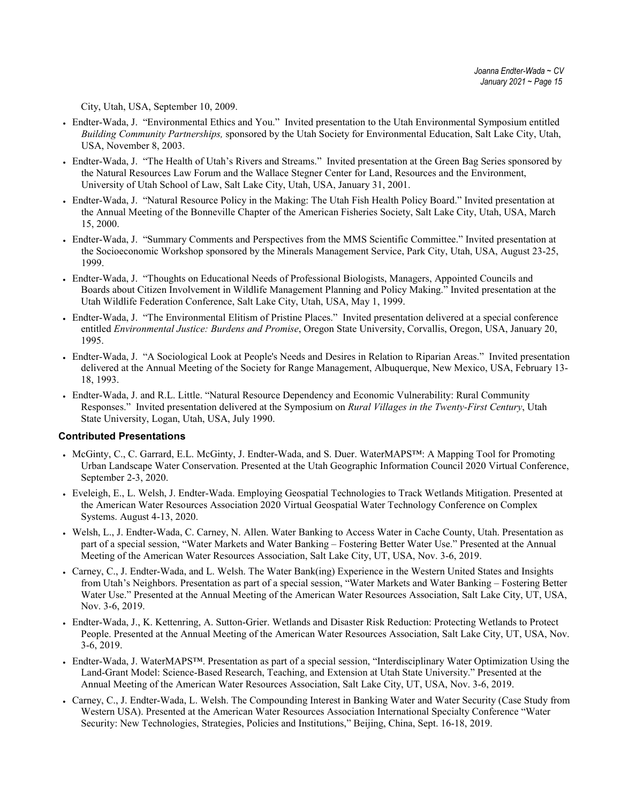City, Utah, USA, September 10, 2009.

- Endter-Wada, J. "Environmental Ethics and You." Invited presentation to the Utah Environmental Symposium entitled *Building Community Partnerships,* sponsored by the Utah Society for Environmental Education, Salt Lake City, Utah, USA, November 8, 2003.
- Endter-Wada, J. "The Health of Utah's Rivers and Streams." Invited presentation at the Green Bag Series sponsored by the Natural Resources Law Forum and the Wallace Stegner Center for Land, Resources and the Environment, University of Utah School of Law, Salt Lake City, Utah, USA, January 31, 2001.
- Endter-Wada, J. "Natural Resource Policy in the Making: The Utah Fish Health Policy Board." Invited presentation at the Annual Meeting of the Bonneville Chapter of the American Fisheries Society, Salt Lake City, Utah, USA, March 15, 2000.
- Endter-Wada, J. "Summary Comments and Perspectives from the MMS Scientific Committee." Invited presentation at the Socioeconomic Workshop sponsored by the Minerals Management Service, Park City, Utah, USA, August 23-25, 1999.
- Endter-Wada, J. "Thoughts on Educational Needs of Professional Biologists, Managers, Appointed Councils and Boards about Citizen Involvement in Wildlife Management Planning and Policy Making." Invited presentation at the Utah Wildlife Federation Conference, Salt Lake City, Utah, USA, May 1, 1999.
- Endter-Wada, J. "The Environmental Elitism of Pristine Places." Invited presentation delivered at a special conference entitled *Environmental Justice: Burdens and Promise*, Oregon State University, Corvallis, Oregon, USA, January 20, 1995.
- Endter-Wada, J. "A Sociological Look at People's Needs and Desires in Relation to Riparian Areas." Invited presentation delivered at the Annual Meeting of the Society for Range Management, Albuquerque, New Mexico, USA, February 13- 18, 1993.
- Endter-Wada, J. and R.L. Little. "Natural Resource Dependency and Economic Vulnerability: Rural Community Responses." Invited presentation delivered at the Symposium on *Rural Villages in the Twenty-First Century*, Utah State University, Logan, Utah, USA, July 1990.

#### **Contributed Presentations**

- McGinty, C., C. Garrard, E.L. McGinty, J. Endter-Wada, and S. Duer. WaterMAPS™: A Mapping Tool for Promoting Urban Landscape Water Conservation. Presented at the Utah Geographic Information Council 2020 Virtual Conference, September 2-3, 2020.
- Eveleigh, E., L. Welsh, J. Endter-Wada. Employing Geospatial Technologies to Track Wetlands Mitigation. Presented at the American Water Resources Association 2020 Virtual Geospatial Water Technology Conference on Complex Systems. August 4-13, 2020.
- Welsh, L., J. Endter-Wada, C. Carney, N. Allen. Water Banking to Access Water in Cache County, Utah. Presentation as part of a special session, "Water Markets and Water Banking – Fostering Better Water Use." Presented at the Annual Meeting of the American Water Resources Association, Salt Lake City, UT, USA, Nov. 3-6, 2019.
- Carney, C., J. Endter-Wada, and L. Welsh. The Water Bank(ing) Experience in the Western United States and Insights from Utah's Neighbors. Presentation as part of a special session, "Water Markets and Water Banking – Fostering Better Water Use." Presented at the Annual Meeting of the American Water Resources Association, Salt Lake City, UT, USA, Nov. 3-6, 2019.
- Endter-Wada, J., K. Kettenring, A. Sutton-Grier. Wetlands and Disaster Risk Reduction: Protecting Wetlands to Protect People. Presented at the Annual Meeting of the American Water Resources Association, Salt Lake City, UT, USA, Nov. 3-6, 2019.
- Endter-Wada, J. WaterMAPS™. Presentation as part of a special session, "Interdisciplinary Water Optimization Using the Land-Grant Model: Science-Based Research, Teaching, and Extension at Utah State University." Presented at the Annual Meeting of the American Water Resources Association, Salt Lake City, UT, USA, Nov. 3-6, 2019.
- Carney, C., J. Endter-Wada, L. Welsh. The Compounding Interest in Banking Water and Water Security (Case Study from Western USA). Presented at the American Water Resources Association International Specialty Conference "Water Security: New Technologies, Strategies, Policies and Institutions," Beijing, China, Sept. 16-18, 2019.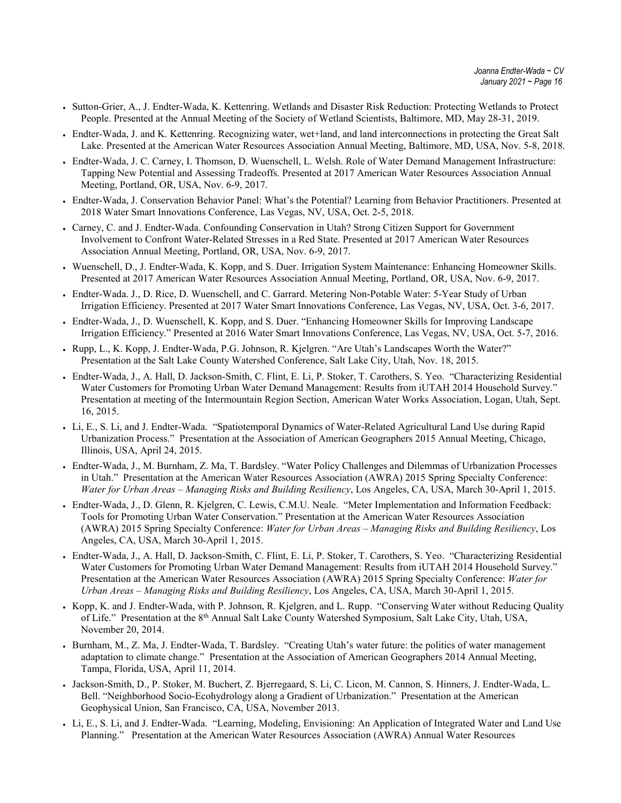- Sutton-Grier, A., J. Endter-Wada, K. Kettenring. Wetlands and Disaster Risk Reduction: Protecting Wetlands to Protect People. Presented at the Annual Meeting of the Society of Wetland Scientists, Baltimore, MD, May 28-31, 2019.
- Endter-Wada, J. and K. Kettenring. Recognizing water, wet+land, and land interconnections in protecting the Great Salt Lake. Presented at the American Water Resources Association Annual Meeting, Baltimore, MD, USA, Nov. 5-8, 2018.
- Endter-Wada, J. C. Carney, I. Thomson, D. Wuenschell, L. Welsh. Role of Water Demand Management Infrastructure: Tapping New Potential and Assessing Tradeoffs. Presented at 2017 American Water Resources Association Annual Meeting, Portland, OR, USA, Nov. 6-9, 2017.
- Endter-Wada, J. Conservation Behavior Panel: What's the Potential? Learning from Behavior Practitioners. Presented at 2018 Water Smart Innovations Conference, Las Vegas, NV, USA, Oct. 2-5, 2018.
- Carney, C. and J. Endter-Wada. Confounding Conservation in Utah? Strong Citizen Support for Government Involvement to Confront Water-Related Stresses in a Red State. Presented at 2017 American Water Resources Association Annual Meeting, Portland, OR, USA, Nov. 6-9, 2017.
- Wuenschell, D., J. Endter-Wada, K. Kopp, and S. Duer. Irrigation System Maintenance: Enhancing Homeowner Skills. Presented at 2017 American Water Resources Association Annual Meeting, Portland, OR, USA, Nov. 6-9, 2017.
- Endter-Wada. J., D. Rice, D. Wuenschell, and C. Garrard. Metering Non-Potable Water: 5-Year Study of Urban Irrigation Efficiency. Presented at 2017 Water Smart Innovations Conference, Las Vegas, NV, USA, Oct. 3-6, 2017.
- Endter-Wada, J., D. Wuenschell, K. Kopp, and S. Duer. "Enhancing Homeowner Skills for Improving Landscape Irrigation Efficiency." Presented at 2016 Water Smart Innovations Conference, Las Vegas, NV, USA, Oct. 5-7, 2016.
- Rupp, L., K. Kopp, J. Endter-Wada, P.G. Johnson, R. Kjelgren. "Are Utah's Landscapes Worth the Water?" Presentation at the Salt Lake County Watershed Conference, Salt Lake City, Utah, Nov. 18, 2015.
- Endter-Wada, J., A. Hall, D. Jackson-Smith, C. Flint, E. Li, P. Stoker, T. Carothers, S. Yeo. "Characterizing Residential Water Customers for Promoting Urban Water Demand Management: Results from iUTAH 2014 Household Survey." Presentation at meeting of the Intermountain Region Section, American Water Works Association, Logan, Utah, Sept. 16, 2015.
- Li, E., S. Li, and J. Endter-Wada. "Spatiotemporal Dynamics of Water-Related Agricultural Land Use during Rapid Urbanization Process." Presentation at the Association of American Geographers 2015 Annual Meeting, Chicago, Illinois, USA, April 24, 2015.
- Endter-Wada, J., M. Burnham, Z. Ma, T. Bardsley. "Water Policy Challenges and Dilemmas of Urbanization Processes in Utah." Presentation at the American Water Resources Association (AWRA) 2015 Spring Specialty Conference: *Water for Urban Areas – Managing Risks and Building Resiliency*, Los Angeles, CA, USA, March 30-April 1, 2015.
- Endter-Wada, J., D. Glenn, R. Kjelgren, C. Lewis, C.M.U. Neale. "Meter Implementation and Information Feedback: Tools for Promoting Urban Water Conservation." Presentation at the American Water Resources Association (AWRA) 2015 Spring Specialty Conference: *Water for Urban Areas – Managing Risks and Building Resiliency*, Los Angeles, CA, USA, March 30-April 1, 2015.
- Endter-Wada, J., A. Hall, D. Jackson-Smith, C. Flint, E. Li, P. Stoker, T. Carothers, S. Yeo. "Characterizing Residential Water Customers for Promoting Urban Water Demand Management: Results from iUTAH 2014 Household Survey." Presentation at the American Water Resources Association (AWRA) 2015 Spring Specialty Conference: *Water for Urban Areas – Managing Risks and Building Resiliency*, Los Angeles, CA, USA, March 30-April 1, 2015.
- Kopp, K. and J. Endter-Wada, with P. Johnson, R. Kjelgren, and L. Rupp. "Conserving Water without Reducing Quality of Life." Presentation at the 8th Annual Salt Lake County Watershed Symposium, Salt Lake City, Utah, USA, November 20, 2014.
- Burnham, M., Z. Ma, J. Endter-Wada, T. Bardsley. "Creating Utah's water future: the politics of water management adaptation to climate change." Presentation at the Association of American Geographers 2014 Annual Meeting, Tampa, Florida, USA, April 11, 2014.
- Jackson-Smith, D., P. Stoker, M. Buchert, Z. Bjerregaard, S. Li, C. Licon, M. Cannon, S. Hinners, J. Endter-Wada, L. Bell. "Neighborhood Socio-Ecohydrology along a Gradient of Urbanization." Presentation at the American Geophysical Union, San Francisco, CA, USA, November 2013.
- Li, E., S. Li, and J. Endter-Wada. "Learning, Modeling, Envisioning: An Application of Integrated Water and Land Use Planning." Presentation at the American Water Resources Association (AWRA) Annual Water Resources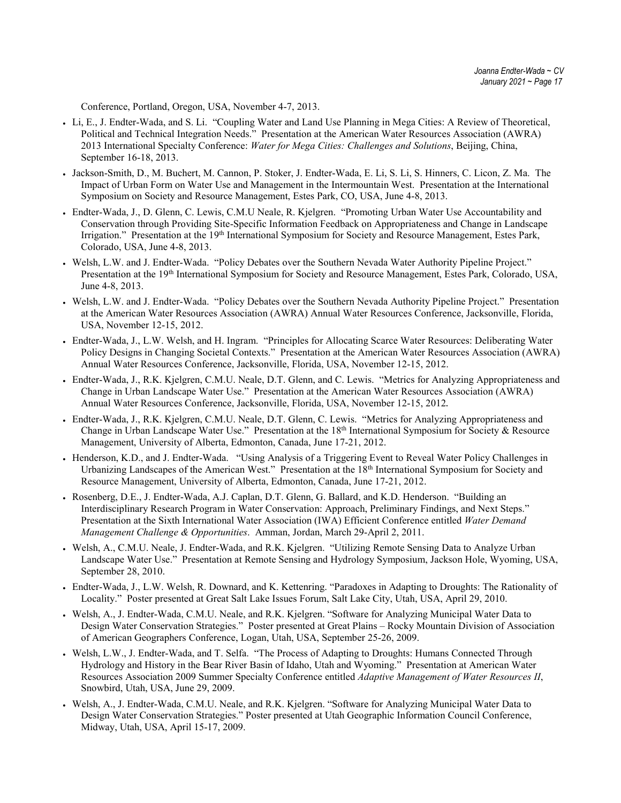Conference, Portland, Oregon, USA, November 4-7, 2013.

- Li, E., J. Endter-Wada, and S. Li. "Coupling Water and Land Use Planning in Mega Cities: A Review of Theoretical, Political and Technical Integration Needs." Presentation at the American Water Resources Association (AWRA) 2013 International Specialty Conference: *Water for Mega Cities: Challenges and Solutions*, Beijing, China, September 16-18, 2013.
- Jackson-Smith, D., M. Buchert, M. Cannon, P. Stoker, J. Endter-Wada, E. Li, S. Li, S. Hinners, C. Licon, Z. Ma. The Impact of Urban Form on Water Use and Management in the Intermountain West. Presentation at the International Symposium on Society and Resource Management, Estes Park, CO, USA, June 4-8, 2013.
- Endter-Wada, J., D. Glenn, C. Lewis, C.M.U Neale, R. Kjelgren. "Promoting Urban Water Use Accountability and Conservation through Providing Site-Specific Information Feedback on Appropriateness and Change in Landscape Irrigation." Presentation at the 19<sup>th</sup> International Symposium for Society and Resource Management, Estes Park, Colorado, USA, June 4-8, 2013.
- Welsh, L.W. and J. Endter-Wada. "Policy Debates over the Southern Nevada Water Authority Pipeline Project." Presentation at the 19<sup>th</sup> International Symposium for Society and Resource Management, Estes Park, Colorado, USA, June 4-8, 2013.
- Welsh, L.W. and J. Endter-Wada. "Policy Debates over the Southern Nevada Authority Pipeline Project." Presentation at the American Water Resources Association (AWRA) Annual Water Resources Conference, Jacksonville, Florida, USA, November 12-15, 2012.
- Endter-Wada, J., L.W. Welsh, and H. Ingram. "Principles for Allocating Scarce Water Resources: Deliberating Water Policy Designs in Changing Societal Contexts." Presentation at the American Water Resources Association (AWRA) Annual Water Resources Conference, Jacksonville, Florida, USA, November 12-15, 2012.
- Endter-Wada, J., R.K. Kjelgren, C.M.U. Neale, D.T. Glenn, and C. Lewis. "Metrics for Analyzing Appropriateness and Change in Urban Landscape Water Use." Presentation at the American Water Resources Association (AWRA) Annual Water Resources Conference, Jacksonville, Florida, USA, November 12-15, 2012.
- Endter-Wada, J., R.K. Kjelgren, C.M.U. Neale, D.T. Glenn, C. Lewis. "Metrics for Analyzing Appropriateness and Change in Urban Landscape Water Use." Presentation at the 18th International Symposium for Society & Resource Management, University of Alberta, Edmonton, Canada, June 17-21, 2012.
- Henderson, K.D., and J. Endter-Wada. "Using Analysis of a Triggering Event to Reveal Water Policy Challenges in Urbanizing Landscapes of the American West." Presentation at the 18<sup>th</sup> International Symposium for Society and Resource Management, University of Alberta, Edmonton, Canada, June 17-21, 2012.
- Rosenberg, D.E., J. Endter-Wada, A.J. Caplan, D.T. Glenn, G. Ballard, and K.D. Henderson. "Building an Interdisciplinary Research Program in Water Conservation: Approach, Preliminary Findings, and Next Steps." Presentation at the Sixth International Water Association (IWA) Efficient Conference entitled *Water Demand Management Challenge & Opportunities*. Amman, Jordan, March 29-April 2, 2011.
- Welsh, A., C.M.U. Neale, J. Endter-Wada, and R.K. Kjelgren. "Utilizing Remote Sensing Data to Analyze Urban Landscape Water Use." Presentation at Remote Sensing and Hydrology Symposium, Jackson Hole, Wyoming, USA, September 28, 2010.
- Endter-Wada, J., L.W. Welsh, R. Downard, and K. Kettenring. "Paradoxes in Adapting to Droughts: The Rationality of Locality." Poster presented at Great Salt Lake Issues Forum, Salt Lake City, Utah, USA, April 29, 2010.
- Welsh, A., J. Endter-Wada, C.M.U. Neale, and R.K. Kjelgren. "Software for Analyzing Municipal Water Data to Design Water Conservation Strategies." Poster presented at Great Plains – Rocky Mountain Division of Association of American Geographers Conference, Logan, Utah, USA, September 25-26, 2009.
- Welsh, L.W., J. Endter-Wada, and T. Selfa. "The Process of Adapting to Droughts: Humans Connected Through Hydrology and History in the Bear River Basin of Idaho, Utah and Wyoming." Presentation at American Water Resources Association 2009 Summer Specialty Conference entitled *Adaptive Management of Water Resources II*, Snowbird, Utah, USA, June 29, 2009.
- Welsh, A., J. Endter-Wada, C.M.U. Neale, and R.K. Kjelgren. "Software for Analyzing Municipal Water Data to Design Water Conservation Strategies." Poster presented at Utah Geographic Information Council Conference, Midway, Utah, USA, April 15-17, 2009.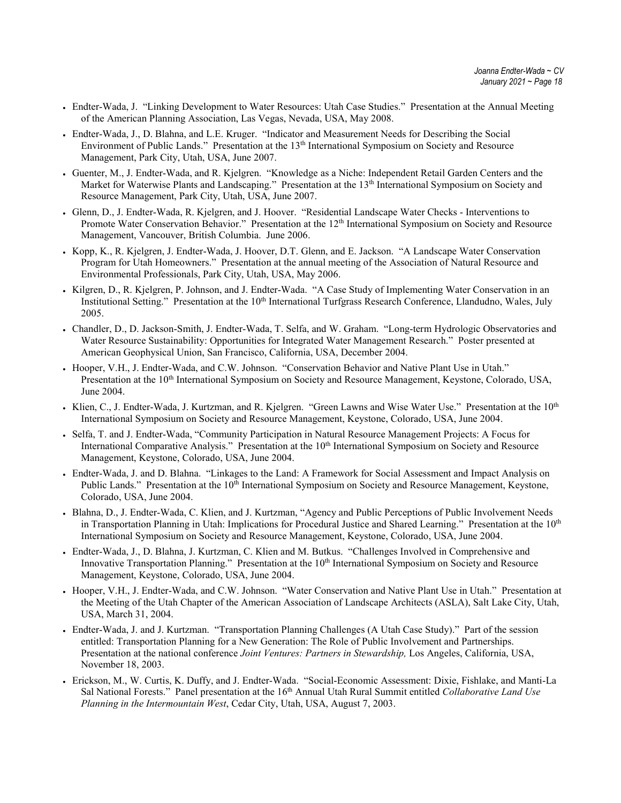- Endter-Wada, J. "Linking Development to Water Resources: Utah Case Studies." Presentation at the Annual Meeting of the American Planning Association, Las Vegas, Nevada, USA, May 2008.
- Endter-Wada, J., D. Blahna, and L.E. Kruger. "Indicator and Measurement Needs for Describing the Social Environment of Public Lands." Presentation at the 13<sup>th</sup> International Symposium on Society and Resource Management, Park City, Utah, USA, June 2007.
- Guenter, M., J. Endter-Wada, and R. Kjelgren. "Knowledge as a Niche: Independent Retail Garden Centers and the Market for Waterwise Plants and Landscaping." Presentation at the 13<sup>th</sup> International Symposium on Society and Resource Management, Park City, Utah, USA, June 2007.
- Glenn, D., J. Endter-Wada, R. Kjelgren, and J. Hoover. "Residential Landscape Water Checks Interventions to Promote Water Conservation Behavior." Presentation at the 12<sup>th</sup> International Symposium on Society and Resource Management, Vancouver, British Columbia. June 2006.
- Kopp, K., R. Kjelgren, J. Endter-Wada, J. Hoover, D.T. Glenn, and E. Jackson. "A Landscape Water Conservation Program for Utah Homeowners." Presentation at the annual meeting of the Association of Natural Resource and Environmental Professionals, Park City, Utah, USA, May 2006.
- Kilgren, D., R. Kjelgren, P. Johnson, and J. Endter-Wada. "A Case Study of Implementing Water Conservation in an Institutional Setting." Presentation at the 10<sup>th</sup> International Turfgrass Research Conference, Llandudno, Wales, July 2005.
- Chandler, D., D. Jackson-Smith, J. Endter-Wada, T. Selfa, and W. Graham. "Long-term Hydrologic Observatories and Water Resource Sustainability: Opportunities for Integrated Water Management Research." Poster presented at American Geophysical Union, San Francisco, California, USA, December 2004.
- Hooper, V.H., J. Endter-Wada, and C.W. Johnson. "Conservation Behavior and Native Plant Use in Utah." Presentation at the 10<sup>th</sup> International Symposium on Society and Resource Management, Keystone, Colorado, USA, June 2004.
- Klien, C., J. Endter-Wada, J. Kurtzman, and R. Kjelgren. "Green Lawns and Wise Water Use." Presentation at the 10<sup>th</sup> International Symposium on Society and Resource Management, Keystone, Colorado, USA, June 2004.
- Selfa, T. and J. Endter-Wada, "Community Participation in Natural Resource Management Projects: A Focus for International Comparative Analysis." Presentation at the 10<sup>th</sup> International Symposium on Society and Resource Management, Keystone, Colorado, USA, June 2004.
- Endter-Wada, J. and D. Blahna. "Linkages to the Land: A Framework for Social Assessment and Impact Analysis on Public Lands." Presentation at the 10<sup>th</sup> International Symposium on Society and Resource Management, Keystone, Colorado, USA, June 2004.
- Blahna, D., J. Endter-Wada, C. Klien, and J. Kurtzman, "Agency and Public Perceptions of Public Involvement Needs in Transportation Planning in Utah: Implications for Procedural Justice and Shared Learning." Presentation at the  $10<sup>th</sup>$ International Symposium on Society and Resource Management, Keystone, Colorado, USA, June 2004.
- Endter-Wada, J., D. Blahna, J. Kurtzman, C. Klien and M. Butkus. "Challenges Involved in Comprehensive and Innovative Transportation Planning." Presentation at the 10<sup>th</sup> International Symposium on Society and Resource Management, Keystone, Colorado, USA, June 2004.
- Hooper, V.H., J. Endter-Wada, and C.W. Johnson. "Water Conservation and Native Plant Use in Utah." Presentation at the Meeting of the Utah Chapter of the American Association of Landscape Architects (ASLA), Salt Lake City, Utah, USA, March 31, 2004.
- Endter-Wada, J. and J. Kurtzman. "Transportation Planning Challenges (A Utah Case Study)." Part of the session entitled: Transportation Planning for a New Generation: The Role of Public Involvement and Partnerships. Presentation at the national conference *Joint Ventures: Partners in Stewardship,* Los Angeles, California, USA, November 18, 2003.
- Erickson, M., W. Curtis, K. Duffy, and J. Endter-Wada. "Social-Economic Assessment: Dixie, Fishlake, and Manti-La Sal National Forests." Panel presentation at the 16<sup>th</sup> Annual Utah Rural Summit entitled *Collaborative Land Use Planning in the Intermountain West*, Cedar City, Utah, USA, August 7, 2003.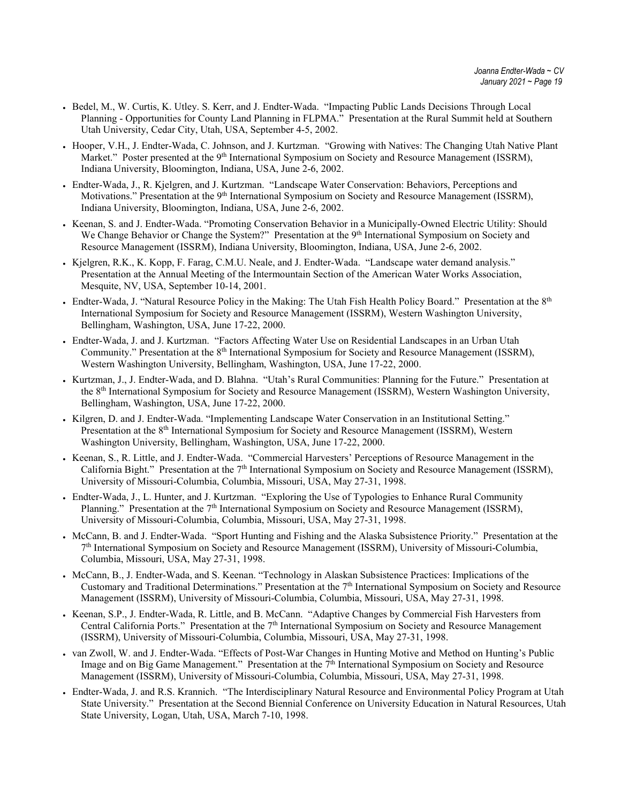- Bedel, M., W. Curtis, K. Utley. S. Kerr, and J. Endter-Wada. "Impacting Public Lands Decisions Through Local Planning - Opportunities for County Land Planning in FLPMA." Presentation at the Rural Summit held at Southern Utah University, Cedar City, Utah, USA, September 4-5, 2002.
- Hooper, V.H., J. Endter-Wada, C. Johnson, and J. Kurtzman. "Growing with Natives: The Changing Utah Native Plant Market." Poster presented at the 9<sup>th</sup> International Symposium on Society and Resource Management (ISSRM), Indiana University, Bloomington, Indiana, USA, June 2-6, 2002.
- Endter-Wada, J., R. Kjelgren, and J. Kurtzman. "Landscape Water Conservation: Behaviors, Perceptions and Motivations." Presentation at the 9<sup>th</sup> International Symposium on Society and Resource Management (ISSRM), Indiana University, Bloomington, Indiana, USA, June 2-6, 2002.
- Keenan, S. and J. Endter-Wada. "Promoting Conservation Behavior in a Municipally-Owned Electric Utility: Should We Change Behavior or Change the System?" Presentation at the 9<sup>th</sup> International Symposium on Society and Resource Management (ISSRM), Indiana University, Bloomington, Indiana, USA, June 2-6, 2002.
- Kjelgren, R.K., K. Kopp, F. Farag, C.M.U. Neale, and J. Endter-Wada. "Landscape water demand analysis." Presentation at the Annual Meeting of the Intermountain Section of the American Water Works Association, Mesquite, NV, USA, September 10-14, 2001.
- Endter-Wada, J. "Natural Resource Policy in the Making: The Utah Fish Health Policy Board." Presentation at the 8<sup>th</sup> International Symposium for Society and Resource Management (ISSRM), Western Washington University, Bellingham, Washington, USA, June 17-22, 2000.
- Endter-Wada, J. and J. Kurtzman. "Factors Affecting Water Use on Residential Landscapes in an Urban Utah Community." Presentation at the 8<sup>th</sup> International Symposium for Society and Resource Management (ISSRM), Western Washington University, Bellingham, Washington, USA, June 17-22, 2000.
- Kurtzman, J., J. Endter-Wada, and D. Blahna. "Utah's Rural Communities: Planning for the Future." Presentation at the 8th International Symposium for Society and Resource Management (ISSRM), Western Washington University, Bellingham, Washington, USA, June 17-22, 2000.
- Kilgren, D. and J. Endter-Wada. "Implementing Landscape Water Conservation in an Institutional Setting." Presentation at the 8<sup>th</sup> International Symposium for Society and Resource Management (ISSRM), Western Washington University, Bellingham, Washington, USA, June 17-22, 2000.
- Keenan, S., R. Little, and J. Endter-Wada. "Commercial Harvesters' Perceptions of Resource Management in the California Bight." Presentation at the  $7<sup>th</sup>$  International Symposium on Society and Resource Management (ISSRM), University of Missouri-Columbia, Columbia, Missouri, USA, May 27-31, 1998.
- Endter-Wada, J., L. Hunter, and J. Kurtzman. "Exploring the Use of Typologies to Enhance Rural Community Planning." Presentation at the 7<sup>th</sup> International Symposium on Society and Resource Management (ISSRM), University of Missouri-Columbia, Columbia, Missouri, USA, May 27-31, 1998.
- McCann, B. and J. Endter-Wada. "Sport Hunting and Fishing and the Alaska Subsistence Priority." Presentation at the 7th International Symposium on Society and Resource Management (ISSRM), University of Missouri-Columbia, Columbia, Missouri, USA, May 27-31, 1998.
- McCann, B., J. Endter-Wada, and S. Keenan. "Technology in Alaskan Subsistence Practices: Implications of the Customary and Traditional Determinations." Presentation at the  $7<sup>th</sup>$  International Symposium on Society and Resource Management (ISSRM), University of Missouri-Columbia, Columbia, Missouri, USA, May 27-31, 1998.
- Keenan, S.P., J. Endter-Wada, R. Little, and B. McCann. "Adaptive Changes by Commercial Fish Harvesters from Central California Ports." Presentation at the 7th International Symposium on Society and Resource Management (ISSRM), University of Missouri-Columbia, Columbia, Missouri, USA, May 27-31, 1998.
- van Zwoll, W. and J. Endter-Wada. "Effects of Post-War Changes in Hunting Motive and Method on Hunting's Public Image and on Big Game Management." Presentation at the  $7<sup>th</sup>$  International Symposium on Society and Resource Management (ISSRM), University of Missouri-Columbia, Columbia, Missouri, USA, May 27-31, 1998.
- Endter-Wada, J. and R.S. Krannich. "The Interdisciplinary Natural Resource and Environmental Policy Program at Utah State University." Presentation at the Second Biennial Conference on University Education in Natural Resources, Utah State University, Logan, Utah, USA, March 7-10, 1998.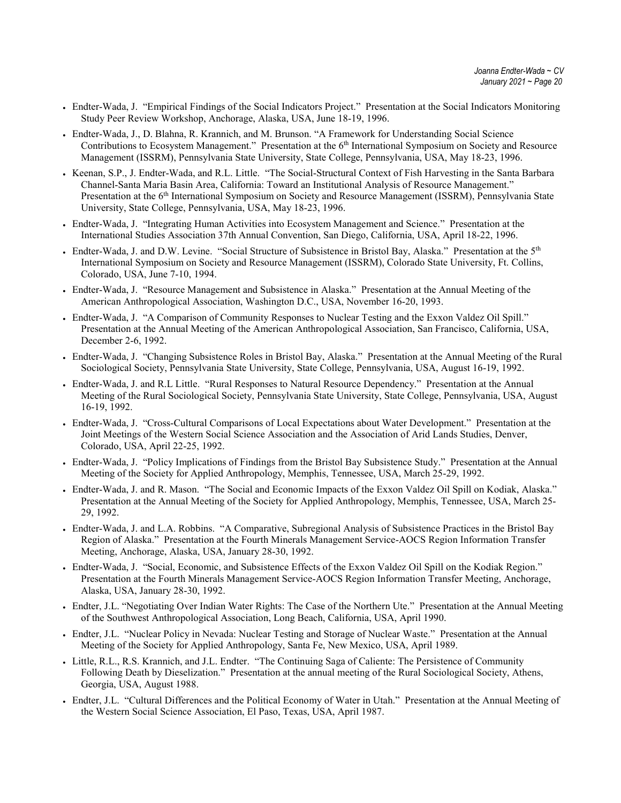- Endter-Wada, J. "Empirical Findings of the Social Indicators Project." Presentation at the Social Indicators Monitoring Study Peer Review Workshop, Anchorage, Alaska, USA, June 18-19, 1996.
- Endter-Wada, J., D. Blahna, R. Krannich, and M. Brunson. "A Framework for Understanding Social Science Contributions to Ecosystem Management." Presentation at the 6<sup>th</sup> International Symposium on Society and Resource Management (ISSRM), Pennsylvania State University, State College, Pennsylvania, USA, May 18-23, 1996.
- Keenan, S.P., J. Endter-Wada, and R.L. Little. "The Social-Structural Context of Fish Harvesting in the Santa Barbara Channel-Santa Maria Basin Area, California: Toward an Institutional Analysis of Resource Management." Presentation at the 6<sup>th</sup> International Symposium on Society and Resource Management (ISSRM), Pennsylvania State University, State College, Pennsylvania, USA, May 18-23, 1996.
- Endter-Wada, J. "Integrating Human Activities into Ecosystem Management and Science." Presentation at the International Studies Association 37th Annual Convention, San Diego, California, USA, April 18-22, 1996.
- Endter-Wada, J. and D.W. Levine. "Social Structure of Subsistence in Bristol Bay, Alaska." Presentation at the 5th International Symposium on Society and Resource Management (ISSRM), Colorado State University, Ft. Collins, Colorado, USA, June 7-10, 1994.
- Endter-Wada, J. "Resource Management and Subsistence in Alaska." Presentation at the Annual Meeting of the American Anthropological Association, Washington D.C., USA, November 16-20, 1993.
- Endter-Wada, J. "A Comparison of Community Responses to Nuclear Testing and the Exxon Valdez Oil Spill." Presentation at the Annual Meeting of the American Anthropological Association, San Francisco, California, USA, December 2-6, 1992.
- Endter-Wada, J. "Changing Subsistence Roles in Bristol Bay, Alaska." Presentation at the Annual Meeting of the Rural Sociological Society, Pennsylvania State University, State College, Pennsylvania, USA, August 16-19, 1992.
- Endter-Wada, J. and R.L Little. "Rural Responses to Natural Resource Dependency." Presentation at the Annual Meeting of the Rural Sociological Society, Pennsylvania State University, State College, Pennsylvania, USA, August 16-19, 1992.
- Endter-Wada, J. "Cross-Cultural Comparisons of Local Expectations about Water Development." Presentation at the Joint Meetings of the Western Social Science Association and the Association of Arid Lands Studies, Denver, Colorado, USA, April 22-25, 1992.
- Endter-Wada, J. "Policy Implications of Findings from the Bristol Bay Subsistence Study." Presentation at the Annual Meeting of the Society for Applied Anthropology, Memphis, Tennessee, USA, March 25-29, 1992.
- Endter-Wada, J. and R. Mason. "The Social and Economic Impacts of the Exxon Valdez Oil Spill on Kodiak, Alaska." Presentation at the Annual Meeting of the Society for Applied Anthropology, Memphis, Tennessee, USA, March 25- 29, 1992.
- Endter-Wada, J. and L.A. Robbins. "A Comparative, Subregional Analysis of Subsistence Practices in the Bristol Bay Region of Alaska." Presentation at the Fourth Minerals Management Service-AOCS Region Information Transfer Meeting, Anchorage, Alaska, USA, January 28-30, 1992.
- Endter-Wada, J. "Social, Economic, and Subsistence Effects of the Exxon Valdez Oil Spill on the Kodiak Region." Presentation at the Fourth Minerals Management Service-AOCS Region Information Transfer Meeting, Anchorage, Alaska, USA, January 28-30, 1992.
- Endter, J.L. "Negotiating Over Indian Water Rights: The Case of the Northern Ute." Presentation at the Annual Meeting of the Southwest Anthropological Association, Long Beach, California, USA, April 1990.
- Endter, J.L. "Nuclear Policy in Nevada: Nuclear Testing and Storage of Nuclear Waste." Presentation at the Annual Meeting of the Society for Applied Anthropology, Santa Fe, New Mexico, USA, April 1989.
- Little, R.L., R.S. Krannich, and J.L. Endter. "The Continuing Saga of Caliente: The Persistence of Community Following Death by Dieselization." Presentation at the annual meeting of the Rural Sociological Society, Athens, Georgia, USA, August 1988.
- Endter, J.L. "Cultural Differences and the Political Economy of Water in Utah." Presentation at the Annual Meeting of the Western Social Science Association, El Paso, Texas, USA, April 1987.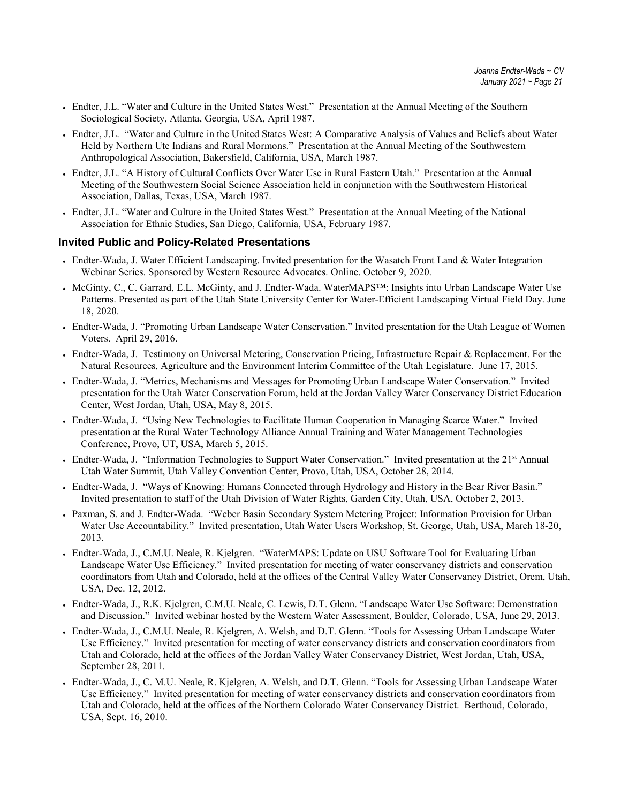- Endter, J.L. "Water and Culture in the United States West." Presentation at the Annual Meeting of the Southern Sociological Society, Atlanta, Georgia, USA, April 1987.
- Endter, J.L. "Water and Culture in the United States West: A Comparative Analysis of Values and Beliefs about Water Held by Northern Ute Indians and Rural Mormons." Presentation at the Annual Meeting of the Southwestern Anthropological Association, Bakersfield, California, USA, March 1987.
- Endter, J.L. "A History of Cultural Conflicts Over Water Use in Rural Eastern Utah." Presentation at the Annual Meeting of the Southwestern Social Science Association held in conjunction with the Southwestern Historical Association, Dallas, Texas, USA, March 1987.
- Endter, J.L. "Water and Culture in the United States West." Presentation at the Annual Meeting of the National Association for Ethnic Studies, San Diego, California, USA, February 1987.

#### **Invited Public and Policy-Related Presentations**

- Endter-Wada, J. Water Efficient Landscaping. Invited presentation for the Wasatch Front Land & Water Integration Webinar Series. Sponsored by Western Resource Advocates. Online. October 9, 2020.
- McGinty, C., C. Garrard, E.L. McGinty, and J. Endter-Wada. WaterMAPS™: Insights into Urban Landscape Water Use Patterns. Presented as part of the Utah State University Center for Water-Efficient Landscaping Virtual Field Day. June 18, 2020.
- Endter-Wada, J. "Promoting Urban Landscape Water Conservation." Invited presentation for the Utah League of Women Voters. April 29, 2016.
- Endter-Wada, J. Testimony on Universal Metering, Conservation Pricing, Infrastructure Repair & Replacement. For the Natural Resources, Agriculture and the Environment Interim Committee of the Utah Legislature. June 17, 2015.
- Endter-Wada, J. "Metrics, Mechanisms and Messages for Promoting Urban Landscape Water Conservation." Invited presentation for the Utah Water Conservation Forum, held at the Jordan Valley Water Conservancy District Education Center, West Jordan, Utah, USA, May 8, 2015.
- Endter-Wada, J. "Using New Technologies to Facilitate Human Cooperation in Managing Scarce Water." Invited presentation at the Rural Water Technology Alliance Annual Training and Water Management Technologies Conference, Provo, UT, USA, March 5, 2015.
- Endter-Wada, J. "Information Technologies to Support Water Conservation." Invited presentation at the 21<sup>st</sup> Annual Utah Water Summit, Utah Valley Convention Center, Provo, Utah, USA, October 28, 2014.
- Endter-Wada, J. "Ways of Knowing: Humans Connected through Hydrology and History in the Bear River Basin." Invited presentation to staff of the Utah Division of Water Rights, Garden City, Utah, USA, October 2, 2013.
- Paxman, S. and J. Endter-Wada. "Weber Basin Secondary System Metering Project: Information Provision for Urban Water Use Accountability." Invited presentation, Utah Water Users Workshop, St. George, Utah, USA, March 18-20, 2013.
- Endter-Wada, J., C.M.U. Neale, R. Kjelgren. "WaterMAPS: Update on USU Software Tool for Evaluating Urban Landscape Water Use Efficiency." Invited presentation for meeting of water conservancy districts and conservation coordinators from Utah and Colorado, held at the offices of the Central Valley Water Conservancy District, Orem, Utah, USA, Dec. 12, 2012.
- Endter-Wada, J., R.K. Kjelgren, C.M.U. Neale, C. Lewis, D.T. Glenn. "Landscape Water Use Software: Demonstration and Discussion." Invited webinar hosted by the Western Water Assessment, Boulder, Colorado, USA, June 29, 2013.
- Endter-Wada, J., C.M.U. Neale, R. Kjelgren, A. Welsh, and D.T. Glenn. "Tools for Assessing Urban Landscape Water Use Efficiency." Invited presentation for meeting of water conservancy districts and conservation coordinators from Utah and Colorado, held at the offices of the Jordan Valley Water Conservancy District, West Jordan, Utah, USA, September 28, 2011.
- Endter-Wada, J., C. M.U. Neale, R. Kjelgren, A. Welsh, and D.T. Glenn. "Tools for Assessing Urban Landscape Water Use Efficiency." Invited presentation for meeting of water conservancy districts and conservation coordinators from Utah and Colorado, held at the offices of the Northern Colorado Water Conservancy District. Berthoud, Colorado, USA, Sept. 16, 2010.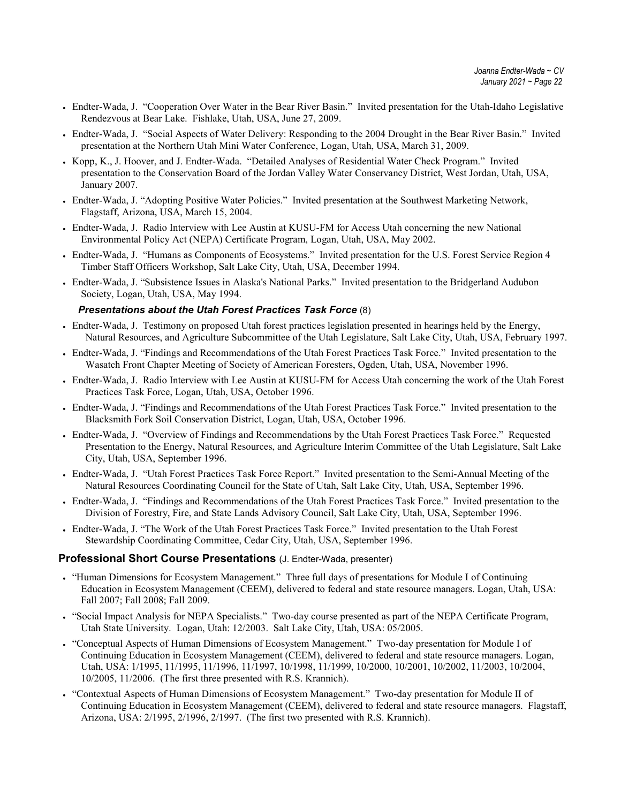- Endter-Wada, J. "Cooperation Over Water in the Bear River Basin." Invited presentation for the Utah-Idaho Legislative Rendezvous at Bear Lake. Fishlake, Utah, USA, June 27, 2009.
- Endter-Wada, J. "Social Aspects of Water Delivery: Responding to the 2004 Drought in the Bear River Basin." Invited presentation at the Northern Utah Mini Water Conference, Logan, Utah, USA, March 31, 2009.
- Kopp, K., J. Hoover, and J. Endter-Wada. "Detailed Analyses of Residential Water Check Program." Invited presentation to the Conservation Board of the Jordan Valley Water Conservancy District, West Jordan, Utah, USA, January 2007.
- Endter-Wada, J. "Adopting Positive Water Policies." Invited presentation at the Southwest Marketing Network, Flagstaff, Arizona, USA, March 15, 2004.
- Endter-Wada, J. Radio Interview with Lee Austin at KUSU-FM for Access Utah concerning the new National Environmental Policy Act (NEPA) Certificate Program, Logan, Utah, USA, May 2002.
- Endter-Wada, J. "Humans as Components of Ecosystems." Invited presentation for the U.S. Forest Service Region 4 Timber Staff Officers Workshop, Salt Lake City, Utah, USA, December 1994.
- Endter-Wada, J. "Subsistence Issues in Alaska's National Parks." Invited presentation to the Bridgerland Audubon Society, Logan, Utah, USA, May 1994.

#### *Presentations about the Utah Forest Practices Task Force* (8)

- Endter-Wada, J. Testimony on proposed Utah forest practices legislation presented in hearings held by the Energy, Natural Resources, and Agriculture Subcommittee of the Utah Legislature, Salt Lake City, Utah, USA, February 1997.
- Endter-Wada, J. "Findings and Recommendations of the Utah Forest Practices Task Force." Invited presentation to the Wasatch Front Chapter Meeting of Society of American Foresters, Ogden, Utah, USA, November 1996.
- Endter-Wada, J. Radio Interview with Lee Austin at KUSU-FM for Access Utah concerning the work of the Utah Forest Practices Task Force, Logan, Utah, USA, October 1996.
- Endter-Wada, J. "Findings and Recommendations of the Utah Forest Practices Task Force." Invited presentation to the Blacksmith Fork Soil Conservation District, Logan, Utah, USA, October 1996.
- Endter-Wada, J. "Overview of Findings and Recommendations by the Utah Forest Practices Task Force." Requested Presentation to the Energy, Natural Resources, and Agriculture Interim Committee of the Utah Legislature, Salt Lake City, Utah, USA, September 1996.
- Endter-Wada, J. "Utah Forest Practices Task Force Report." Invited presentation to the Semi-Annual Meeting of the Natural Resources Coordinating Council for the State of Utah, Salt Lake City, Utah, USA, September 1996.
- Endter-Wada, J. "Findings and Recommendations of the Utah Forest Practices Task Force." Invited presentation to the Division of Forestry, Fire, and State Lands Advisory Council, Salt Lake City, Utah, USA, September 1996.
- Endter-Wada, J. "The Work of the Utah Forest Practices Task Force." Invited presentation to the Utah Forest Stewardship Coordinating Committee, Cedar City, Utah, USA, September 1996.

#### **Professional Short Course Presentations** (J. Endter-Wada, presenter)

- "Human Dimensions for Ecosystem Management." Three full days of presentations for Module I of Continuing Education in Ecosystem Management (CEEM), delivered to federal and state resource managers. Logan, Utah, USA: Fall 2007; Fall 2008; Fall 2009.
- "Social Impact Analysis for NEPA Specialists." Two-day course presented as part of the NEPA Certificate Program, Utah State University. Logan, Utah: 12/2003. Salt Lake City, Utah, USA: 05/2005.
- "Conceptual Aspects of Human Dimensions of Ecosystem Management." Two-day presentation for Module I of Continuing Education in Ecosystem Management (CEEM), delivered to federal and state resource managers. Logan, Utah, USA: 1/1995, 11/1995, 11/1996, 11/1997, 10/1998, 11/1999, 10/2000, 10/2001, 10/2002, 11/2003, 10/2004, 10/2005, 11/2006. (The first three presented with R.S. Krannich).
- "Contextual Aspects of Human Dimensions of Ecosystem Management." Two-day presentation for Module II of Continuing Education in Ecosystem Management (CEEM), delivered to federal and state resource managers. Flagstaff, Arizona, USA: 2/1995, 2/1996, 2/1997. (The first two presented with R.S. Krannich).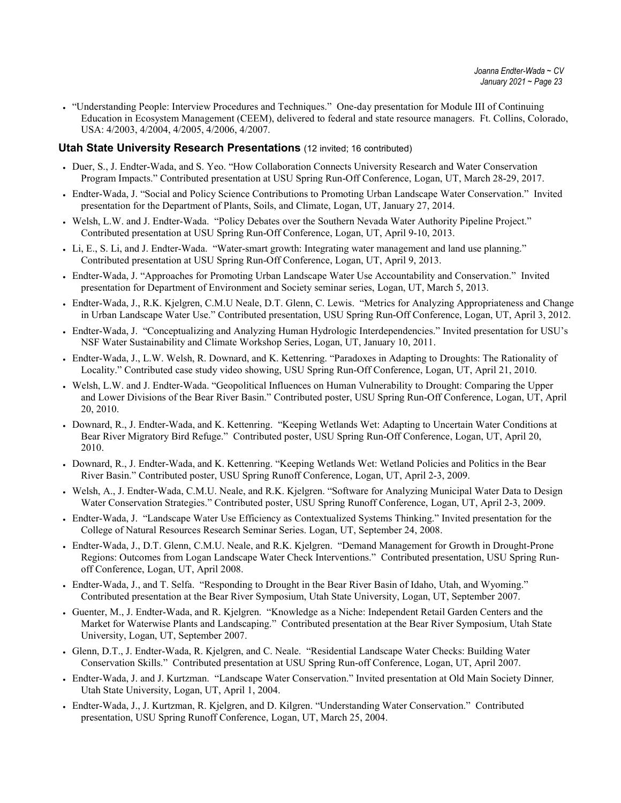• "Understanding People: Interview Procedures and Techniques." One-day presentation for Module III of Continuing Education in Ecosystem Management (CEEM), delivered to federal and state resource managers. Ft. Collins, Colorado, USA: 4/2003, 4/2004, 4/2005, 4/2006, 4/2007.

#### **Utah State University Research Presentations** (12 invited; 16 contributed)

- Duer, S., J. Endter-Wada, and S. Yeo. "How Collaboration Connects University Research and Water Conservation Program Impacts." Contributed presentation at USU Spring Run-Off Conference, Logan, UT, March 28-29, 2017.
- Endter-Wada, J. "Social and Policy Science Contributions to Promoting Urban Landscape Water Conservation." Invited presentation for the Department of Plants, Soils, and Climate, Logan, UT, January 27, 2014.
- Welsh, L.W. and J. Endter-Wada. "Policy Debates over the Southern Nevada Water Authority Pipeline Project." Contributed presentation at USU Spring Run-Off Conference, Logan, UT, April 9-10, 2013.
- Li, E., S. Li, and J. Endter-Wada. "Water-smart growth: Integrating water management and land use planning." Contributed presentation at USU Spring Run-Off Conference, Logan, UT, April 9, 2013.
- Endter-Wada, J. "Approaches for Promoting Urban Landscape Water Use Accountability and Conservation." Invited presentation for Department of Environment and Society seminar series, Logan, UT, March 5, 2013.
- Endter-Wada, J., R.K. Kjelgren, C.M.U Neale, D.T. Glenn, C. Lewis. "Metrics for Analyzing Appropriateness and Change in Urban Landscape Water Use." Contributed presentation, USU Spring Run-Off Conference, Logan, UT, April 3, 2012.
- Endter-Wada, J. "Conceptualizing and Analyzing Human Hydrologic Interdependencies." Invited presentation for USU's NSF Water Sustainability and Climate Workshop Series, Logan, UT, January 10, 2011.
- Endter-Wada, J., L.W. Welsh, R. Downard, and K. Kettenring. "Paradoxes in Adapting to Droughts: The Rationality of Locality." Contributed case study video showing, USU Spring Run-Off Conference, Logan, UT, April 21, 2010.
- Welsh, L.W. and J. Endter-Wada. "Geopolitical Influences on Human Vulnerability to Drought: Comparing the Upper and Lower Divisions of the Bear River Basin." Contributed poster, USU Spring Run-Off Conference, Logan, UT, April 20, 2010.
- Downard, R., J. Endter-Wada, and K. Kettenring. "Keeping Wetlands Wet: Adapting to Uncertain Water Conditions at Bear River Migratory Bird Refuge." Contributed poster, USU Spring Run-Off Conference, Logan, UT, April 20, 2010.
- Downard, R., J. Endter-Wada, and K. Kettenring. "Keeping Wetlands Wet: Wetland Policies and Politics in the Bear River Basin." Contributed poster, USU Spring Runoff Conference, Logan, UT, April 2-3, 2009.
- Welsh, A., J. Endter-Wada, C.M.U. Neale, and R.K. Kjelgren. "Software for Analyzing Municipal Water Data to Design Water Conservation Strategies." Contributed poster, USU Spring Runoff Conference, Logan, UT, April 2-3, 2009.
- Endter-Wada, J. "Landscape Water Use Efficiency as Contextualized Systems Thinking." Invited presentation for the College of Natural Resources Research Seminar Series. Logan, UT, September 24, 2008.
- Endter-Wada, J., D.T. Glenn, C.M.U. Neale, and R.K. Kjelgren. "Demand Management for Growth in Drought-Prone Regions: Outcomes from Logan Landscape Water Check Interventions." Contributed presentation, USU Spring Runoff Conference, Logan, UT, April 2008.
- Endter-Wada, J., and T. Selfa. "Responding to Drought in the Bear River Basin of Idaho, Utah, and Wyoming." Contributed presentation at the Bear River Symposium, Utah State University, Logan, UT, September 2007.
- Guenter, M., J. Endter-Wada, and R. Kjelgren. "Knowledge as a Niche: Independent Retail Garden Centers and the Market for Waterwise Plants and Landscaping." Contributed presentation at the Bear River Symposium, Utah State University, Logan, UT, September 2007.
- Glenn, D.T., J. Endter-Wada, R. Kjelgren, and C. Neale. "Residential Landscape Water Checks: Building Water Conservation Skills." Contributed presentation at USU Spring Run-off Conference, Logan, UT, April 2007.
- Endter-Wada, J. and J. Kurtzman. "Landscape Water Conservation." Invited presentation at Old Main Society Dinner*,*  Utah State University, Logan, UT, April 1, 2004.
- Endter-Wada, J., J. Kurtzman, R. Kjelgren, and D. Kilgren. "Understanding Water Conservation." Contributed presentation, USU Spring Runoff Conference, Logan, UT, March 25, 2004.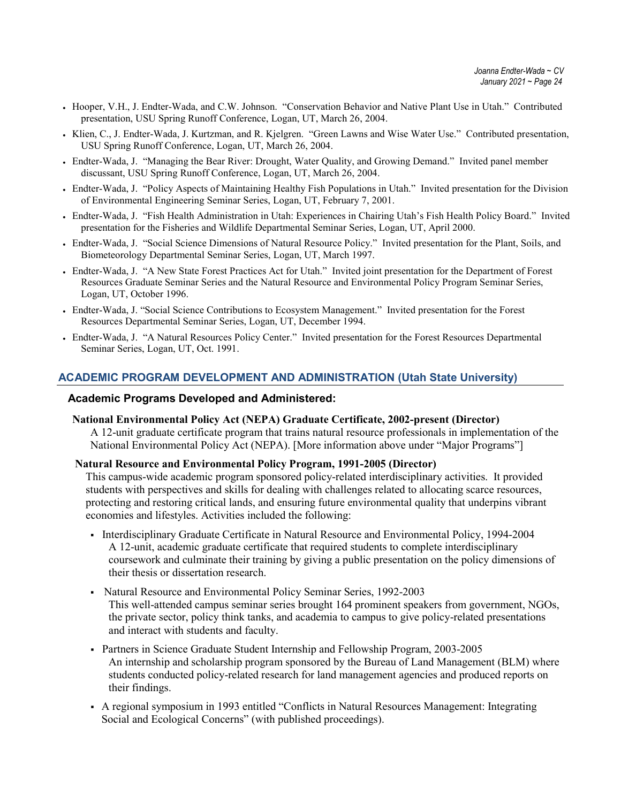- Hooper, V.H., J. Endter-Wada, and C.W. Johnson. "Conservation Behavior and Native Plant Use in Utah." Contributed presentation, USU Spring Runoff Conference, Logan, UT, March 26, 2004.
- Klien, C., J. Endter-Wada, J. Kurtzman, and R. Kjelgren. "Green Lawns and Wise Water Use." Contributed presentation, USU Spring Runoff Conference, Logan, UT, March 26, 2004.
- Endter-Wada, J. "Managing the Bear River: Drought, Water Quality, and Growing Demand." Invited panel member discussant, USU Spring Runoff Conference, Logan, UT, March 26, 2004.
- Endter-Wada, J. "Policy Aspects of Maintaining Healthy Fish Populations in Utah." Invited presentation for the Division of Environmental Engineering Seminar Series, Logan, UT, February 7, 2001.
- Endter-Wada, J. "Fish Health Administration in Utah: Experiences in Chairing Utah's Fish Health Policy Board." Invited presentation for the Fisheries and Wildlife Departmental Seminar Series, Logan, UT, April 2000.
- Endter-Wada, J. "Social Science Dimensions of Natural Resource Policy." Invited presentation for the Plant, Soils, and Biometeorology Departmental Seminar Series, Logan, UT, March 1997.
- Endter-Wada, J. "A New State Forest Practices Act for Utah." Invited joint presentation for the Department of Forest Resources Graduate Seminar Series and the Natural Resource and Environmental Policy Program Seminar Series, Logan, UT, October 1996.
- Endter-Wada, J. "Social Science Contributions to Ecosystem Management." Invited presentation for the Forest Resources Departmental Seminar Series, Logan, UT, December 1994.
- Endter-Wada, J. "A Natural Resources Policy Center." Invited presentation for the Forest Resources Departmental Seminar Series, Logan, UT, Oct. 1991.

## **ACADEMIC PROGRAM DEVELOPMENT AND ADMINISTRATION (Utah State University)**

#### **Academic Programs Developed and Administered:**

**National Environmental Policy Act (NEPA) Graduate Certificate, 2002-present (Director)** A 12-unit graduate certificate program that trains natural resource professionals in implementation of the National Environmental Policy Act (NEPA). [More information above under "Major Programs"]

#### **Natural Resource and Environmental Policy Program, 1991-2005 (Director)**

This campus-wide academic program sponsored policy-related interdisciplinary activities. It provided students with perspectives and skills for dealing with challenges related to allocating scarce resources, protecting and restoring critical lands, and ensuring future environmental quality that underpins vibrant economies and lifestyles. Activities included the following:

- Interdisciplinary Graduate Certificate in Natural Resource and Environmental Policy, 1994-2004 A 12-unit, academic graduate certificate that required students to complete interdisciplinary coursework and culminate their training by giving a public presentation on the policy dimensions of their thesis or dissertation research.
- Natural Resource and Environmental Policy Seminar Series, 1992-2003 This well-attended campus seminar series brought 164 prominent speakers from government, NGOs, the private sector, policy think tanks, and academia to campus to give policy-related presentations and interact with students and faculty.
- Partners in Science Graduate Student Internship and Fellowship Program, 2003-2005 An internship and scholarship program sponsored by the Bureau of Land Management (BLM) where students conducted policy-related research for land management agencies and produced reports on their findings.
- A regional symposium in 1993 entitled "Conflicts in Natural Resources Management: Integrating Social and Ecological Concerns" (with published proceedings).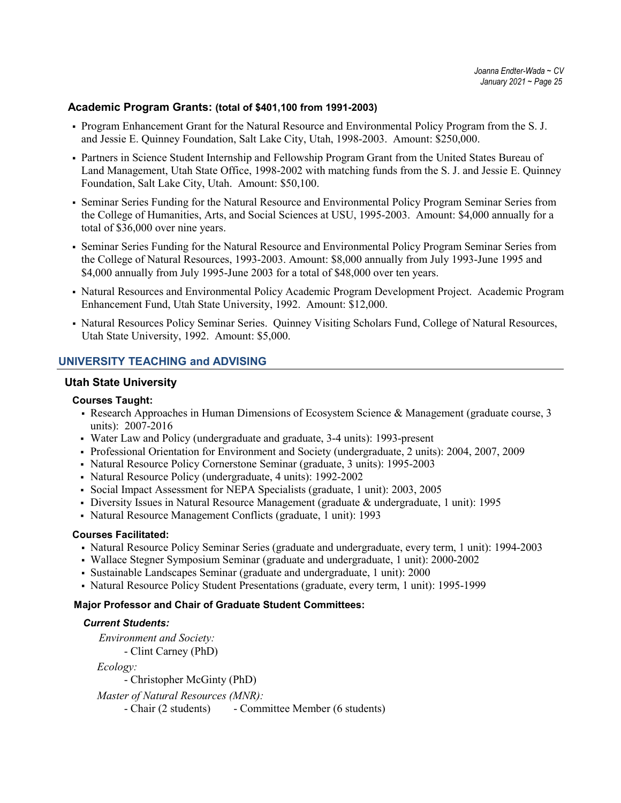#### **Academic Program Grants: (total of \$401,100 from 1991-2003)**

- Program Enhancement Grant for the Natural Resource and Environmental Policy Program from the S. J. and Jessie E. Quinney Foundation, Salt Lake City, Utah, 1998-2003. Amount: \$250,000.
- Partners in Science Student Internship and Fellowship Program Grant from the United States Bureau of Land Management, Utah State Office, 1998-2002 with matching funds from the S. J. and Jessie E. Quinney Foundation, Salt Lake City, Utah. Amount: \$50,100.
- Seminar Series Funding for the Natural Resource and Environmental Policy Program Seminar Series from the College of Humanities, Arts, and Social Sciences at USU, 1995-2003. Amount: \$4,000 annually for a total of \$36,000 over nine years.
- Seminar Series Funding for the Natural Resource and Environmental Policy Program Seminar Series from the College of Natural Resources, 1993-2003. Amount: \$8,000 annually from July 1993-June 1995 and \$4,000 annually from July 1995-June 2003 for a total of \$48,000 over ten years.
- Natural Resources and Environmental Policy Academic Program Development Project. Academic Program Enhancement Fund, Utah State University, 1992. Amount: \$12,000.
- Natural Resources Policy Seminar Series. Quinney Visiting Scholars Fund, College of Natural Resources, Utah State University, 1992. Amount: \$5,000.

### **UNIVERSITY TEACHING and ADVISING**

#### **Utah State University**

#### **Courses Taught:**

- Research Approaches in Human Dimensions of Ecosystem Science & Management (graduate course, 3) units): 2007-2016
- Water Law and Policy (undergraduate and graduate, 3-4 units): 1993-present
- Professional Orientation for Environment and Society (undergraduate, 2 units): 2004, 2007, 2009
- Natural Resource Policy Cornerstone Seminar (graduate, 3 units): 1995-2003
- Natural Resource Policy (undergraduate, 4 units): 1992-2002
- Social Impact Assessment for NEPA Specialists (graduate, 1 unit): 2003, 2005
- Diversity Issues in Natural Resource Management (graduate & undergraduate, 1 unit): 1995
- Natural Resource Management Conflicts (graduate, 1 unit): 1993

#### **Courses Facilitated:**

- Natural Resource Policy Seminar Series (graduate and undergraduate, every term, 1 unit): 1994-2003
- Wallace Stegner Symposium Seminar (graduate and undergraduate, 1 unit): 2000-2002
- Sustainable Landscapes Seminar (graduate and undergraduate, 1 unit): 2000
- Natural Resource Policy Student Presentations (graduate, every term, 1 unit): 1995-1999

#### **Major Professor and Chair of Graduate Student Committees:**

#### *Current Students:*

 *Environment and Society:* - Clint Carney (PhD)

 *Ecology:*

- Christopher McGinty (PhD)

*Master of Natural Resources (MNR):*

- Chair (2 students) - Committee Member (6 students)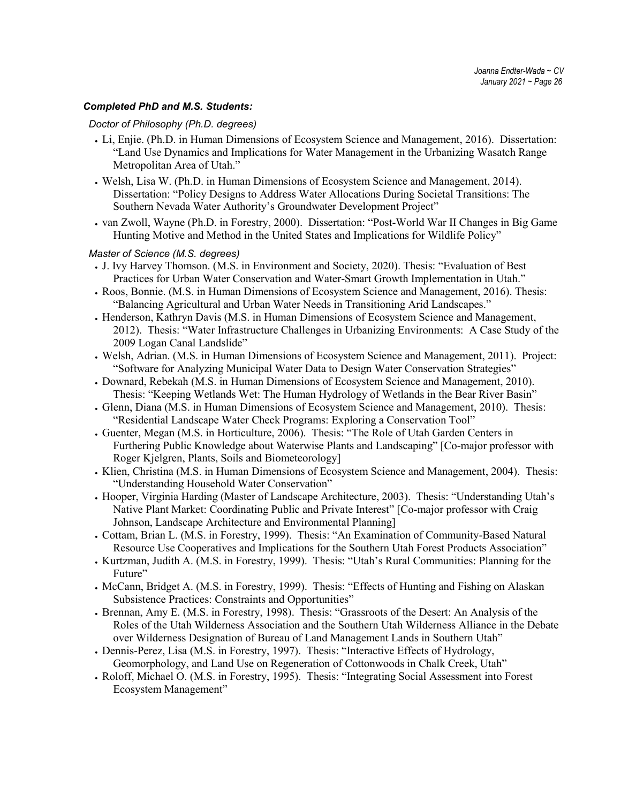#### *Completed PhD and M.S. Students:*

#### *Doctor of Philosophy (Ph.D. degrees)*

- Li, Enjie. (Ph.D. in Human Dimensions of Ecosystem Science and Management, 2016). Dissertation: "Land Use Dynamics and Implications for Water Management in the Urbanizing Wasatch Range Metropolitan Area of Utah."
- Welsh, Lisa W. (Ph.D. in Human Dimensions of Ecosystem Science and Management, 2014). Dissertation: "Policy Designs to Address Water Allocations During Societal Transitions: The Southern Nevada Water Authority's Groundwater Development Project"
- van Zwoll, Wayne (Ph.D. in Forestry, 2000). Dissertation: "Post-World War II Changes in Big Game Hunting Motive and Method in the United States and Implications for Wildlife Policy"

#### *Master of Science (M.S. degrees)*

- J. Ivy Harvey Thomson. (M.S. in Environment and Society, 2020). Thesis: "Evaluation of Best Practices for Urban Water Conservation and Water-Smart Growth Implementation in Utah."
- Roos, Bonnie. (M.S. in Human Dimensions of Ecosystem Science and Management, 2016). Thesis: "Balancing Agricultural and Urban Water Needs in Transitioning Arid Landscapes."
- Henderson, Kathryn Davis (M.S. in Human Dimensions of Ecosystem Science and Management, 2012). Thesis: "Water Infrastructure Challenges in Urbanizing Environments: A Case Study of the 2009 Logan Canal Landslide"
- Welsh, Adrian. (M.S. in Human Dimensions of Ecosystem Science and Management, 2011). Project: "Software for Analyzing Municipal Water Data to Design Water Conservation Strategies"
- Downard, Rebekah (M.S. in Human Dimensions of Ecosystem Science and Management, 2010). Thesis: "Keeping Wetlands Wet: The Human Hydrology of Wetlands in the Bear River Basin"
- Glenn, Diana (M.S. in Human Dimensions of Ecosystem Science and Management, 2010). Thesis: "Residential Landscape Water Check Programs: Exploring a Conservation Tool"
- Guenter, Megan (M.S. in Horticulture, 2006). Thesis: "The Role of Utah Garden Centers in Furthering Public Knowledge about Waterwise Plants and Landscaping" [Co-major professor with Roger Kjelgren, Plants, Soils and Biometeorology]
- Klien, Christina (M.S. in Human Dimensions of Ecosystem Science and Management, 2004). Thesis: "Understanding Household Water Conservation"
- Hooper, Virginia Harding (Master of Landscape Architecture, 2003). Thesis: "Understanding Utah's Native Plant Market: Coordinating Public and Private Interest" [Co-major professor with Craig Johnson, Landscape Architecture and Environmental Planning]
- Cottam, Brian L. (M.S. in Forestry, 1999). Thesis: "An Examination of Community-Based Natural Resource Use Cooperatives and Implications for the Southern Utah Forest Products Association"
- Kurtzman, Judith A. (M.S. in Forestry, 1999). Thesis: "Utah's Rural Communities: Planning for the Future"
- McCann, Bridget A. (M.S. in Forestry, 1999). Thesis: "Effects of Hunting and Fishing on Alaskan Subsistence Practices: Constraints and Opportunities"
- Brennan, Amy E. (M.S. in Forestry, 1998). Thesis: "Grassroots of the Desert: An Analysis of the Roles of the Utah Wilderness Association and the Southern Utah Wilderness Alliance in the Debate over Wilderness Designation of Bureau of Land Management Lands in Southern Utah"
- Dennis-Perez, Lisa (M.S. in Forestry, 1997). Thesis: "Interactive Effects of Hydrology, Geomorphology, and Land Use on Regeneration of Cottonwoods in Chalk Creek, Utah"
- Roloff, Michael O. (M.S. in Forestry, 1995). Thesis: "Integrating Social Assessment into Forest Ecosystem Management"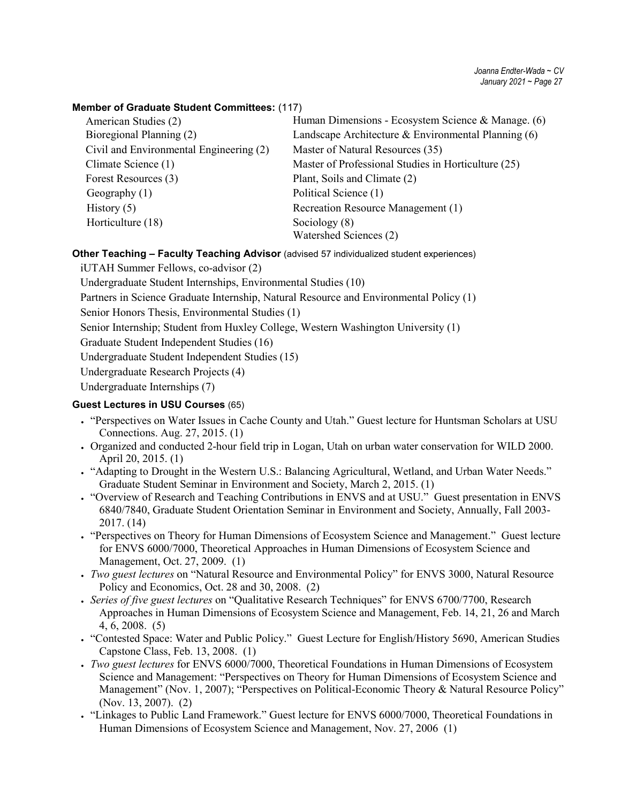### **Member of Graduate Student Committees:** (117)

| American Studies (2)                    | Human Dimensions - Ecosystem Science & Manage. (6)    |
|-----------------------------------------|-------------------------------------------------------|
| Bioregional Planning (2)                | Landscape Architecture & Environmental Planning $(6)$ |
| Civil and Environmental Engineering (2) | Master of Natural Resources (35)                      |
| Climate Science (1)                     | Master of Professional Studies in Horticulture (25)   |
| Forest Resources (3)                    | Plant, Soils and Climate (2)                          |
| Geography $(1)$                         | Political Science (1)                                 |
| History $(5)$                           | Recreation Resource Management (1)                    |
| Horticulture (18)                       | Sociology (8)                                         |
|                                         | Watershed Sciences (2)                                |

### **Other Teaching – Faculty Teaching Advisor** (advised 57 individualized student experiences)

iUTAH Summer Fellows, co-advisor (2)

Undergraduate Student Internships, Environmental Studies (10)

Partners in Science Graduate Internship, Natural Resource and Environmental Policy (1)

Senior Honors Thesis, Environmental Studies (1)

Senior Internship; Student from Huxley College, Western Washington University (1)

Graduate Student Independent Studies (16)

Undergraduate Student Independent Studies (15)

Undergraduate Research Projects (4)

Undergraduate Internships (7)

### **Guest Lectures in USU Courses** (65)

- "Perspectives on Water Issues in Cache County and Utah." Guest lecture for Huntsman Scholars at USU Connections. Aug. 27, 2015. (1)
- Organized and conducted 2-hour field trip in Logan, Utah on urban water conservation for WILD 2000. April 20, 2015. (1)
- "Adapting to Drought in the Western U.S.: Balancing Agricultural, Wetland, and Urban Water Needs." Graduate Student Seminar in Environment and Society, March 2, 2015. (1)
- "Overview of Research and Teaching Contributions in ENVS and at USU." Guest presentation in ENVS 6840/7840, Graduate Student Orientation Seminar in Environment and Society, Annually, Fall 2003- 2017. (14)
- "Perspectives on Theory for Human Dimensions of Ecosystem Science and Management." Guest lecture for ENVS 6000/7000, Theoretical Approaches in Human Dimensions of Ecosystem Science and Management, Oct. 27, 2009. (1)
- *Two guest lectures* on "Natural Resource and Environmental Policy" for ENVS 3000, Natural Resource Policy and Economics, Oct. 28 and 30, 2008. (2)
- *Series of five guest lectures* on "Qualitative Research Techniques" for ENVS 6700/7700, Research Approaches in Human Dimensions of Ecosystem Science and Management, Feb. 14, 21, 26 and March 4, 6, 2008. (5)
- "Contested Space: Water and Public Policy." Guest Lecture for English/History 5690, American Studies Capstone Class, Feb. 13, 2008. (1)
- *Two guest lectures* for ENVS 6000/7000, Theoretical Foundations in Human Dimensions of Ecosystem Science and Management: "Perspectives on Theory for Human Dimensions of Ecosystem Science and Management" (Nov. 1, 2007); "Perspectives on Political-Economic Theory & Natural Resource Policy" (Nov. 13, 2007). (2)
- "Linkages to Public Land Framework." Guest lecture for ENVS 6000/7000, Theoretical Foundations in Human Dimensions of Ecosystem Science and Management, Nov. 27, 2006 (1)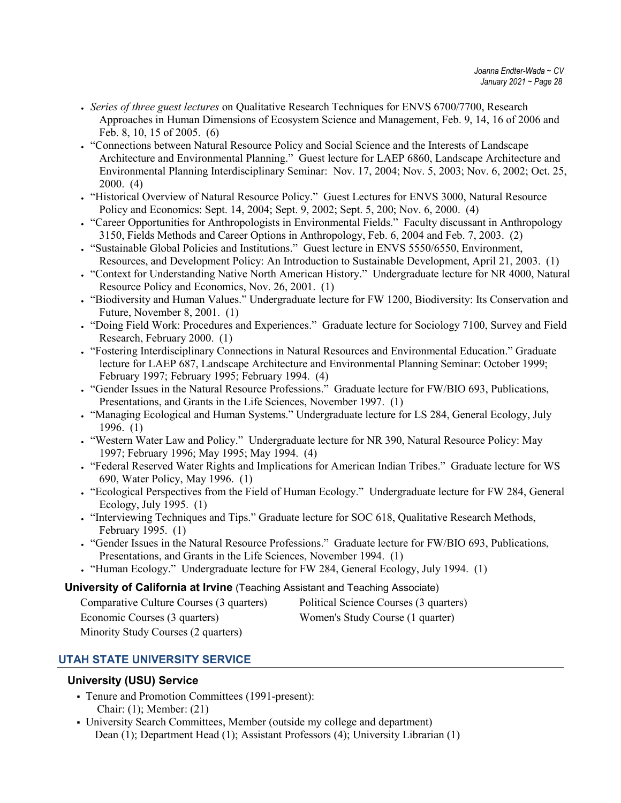- *Series of three guest lectures* on Qualitative Research Techniques for ENVS 6700/7700, Research Approaches in Human Dimensions of Ecosystem Science and Management, Feb. 9, 14, 16 of 2006 and Feb. 8, 10, 15 of 2005. (6)
- "Connections between Natural Resource Policy and Social Science and the Interests of Landscape Architecture and Environmental Planning." Guest lecture for LAEP 6860, Landscape Architecture and Environmental Planning Interdisciplinary Seminar: Nov. 17, 2004; Nov. 5, 2003; Nov. 6, 2002; Oct. 25, 2000. (4)
- "Historical Overview of Natural Resource Policy." Guest Lectures for ENVS 3000, Natural Resource Policy and Economics: Sept. 14, 2004; Sept. 9, 2002; Sept. 5, 200; Nov. 6, 2000. (4)
- "Career Opportunities for Anthropologists in Environmental Fields." Faculty discussant in Anthropology 3150, Fields Methods and Career Options in Anthropology, Feb. 6, 2004 and Feb. 7, 2003. (2)
- "Sustainable Global Policies and Institutions." Guest lecture in ENVS 5550/6550, Environment, Resources, and Development Policy: An Introduction to Sustainable Development, April 21, 2003. (1)
- "Context for Understanding Native North American History." Undergraduate lecture for NR 4000, Natural Resource Policy and Economics, Nov. 26, 2001. (1)
- "Biodiversity and Human Values." Undergraduate lecture for FW 1200, Biodiversity: Its Conservation and Future, November 8, 2001. (1)
- "Doing Field Work: Procedures and Experiences." Graduate lecture for Sociology 7100, Survey and Field Research, February 2000. (1)
- "Fostering Interdisciplinary Connections in Natural Resources and Environmental Education." Graduate lecture for LAEP 687, Landscape Architecture and Environmental Planning Seminar: October 1999; February 1997; February 1995; February 1994. (4)
- "Gender Issues in the Natural Resource Professions." Graduate lecture for FW/BIO 693, Publications, Presentations, and Grants in the Life Sciences, November 1997. (1)
- "Managing Ecological and Human Systems." Undergraduate lecture for LS 284, General Ecology, July 1996. (1)
- "Western Water Law and Policy." Undergraduate lecture for NR 390, Natural Resource Policy: May 1997; February 1996; May 1995; May 1994. (4)
- "Federal Reserved Water Rights and Implications for American Indian Tribes." Graduate lecture for WS 690, Water Policy, May 1996. (1)
- "Ecological Perspectives from the Field of Human Ecology." Undergraduate lecture for FW 284, General Ecology, July 1995. (1)
- "Interviewing Techniques and Tips." Graduate lecture for SOC 618, Qualitative Research Methods, February 1995. (1)
- "Gender Issues in the Natural Resource Professions." Graduate lecture for FW/BIO 693, Publications, Presentations, and Grants in the Life Sciences, November 1994. (1)
- "Human Ecology." Undergraduate lecture for FW 284, General Ecology, July 1994. (1)

## **University of California at Irvine** (Teaching Assistant and Teaching Associate)

| Comparative Culture Courses (3 quarters) |
|------------------------------------------|
| Economic Courses (3 quarters)            |
| Minority Study Courses (2 quarters)      |

Political Science Courses (3 quarters)

Women's Study Course (1 quarter)

# **UTAH STATE UNIVERSITY SERVICE**

## **University (USU) Service**

- Tenure and Promotion Committees (1991-present): Chair: (1); Member: (21)
- University Search Committees, Member (outside my college and department) Dean (1); Department Head (1); Assistant Professors (4); University Librarian (1)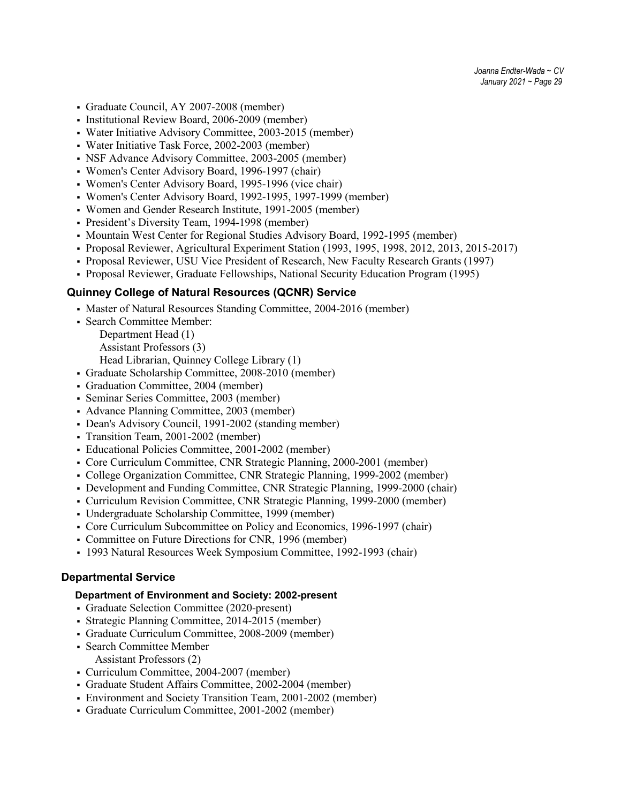- Graduate Council, AY 2007-2008 (member)
- Institutional Review Board, 2006-2009 (member)
- Water Initiative Advisory Committee, 2003-2015 (member)
- Water Initiative Task Force, 2002-2003 (member)
- NSF Advance Advisory Committee, 2003-2005 (member)
- Women's Center Advisory Board, 1996-1997 (chair)
- Women's Center Advisory Board, 1995-1996 (vice chair)
- Women's Center Advisory Board, 1992-1995, 1997-1999 (member)
- Women and Gender Research Institute, 1991-2005 (member)
- President's Diversity Team, 1994-1998 (member)
- Mountain West Center for Regional Studies Advisory Board, 1992-1995 (member)
- Proposal Reviewer, Agricultural Experiment Station (1993, 1995, 1998, 2012, 2013, 2015-2017)
- Proposal Reviewer, USU Vice President of Research, New Faculty Research Grants (1997)
- Proposal Reviewer, Graduate Fellowships, National Security Education Program (1995)

### **Quinney College of Natural Resources (QCNR) Service**

- Master of Natural Resources Standing Committee, 2004-2016 (member)
- Search Committee Member: Department Head (1)
	- Assistant Professors (3)

Head Librarian, Quinney College Library (1)

- Graduate Scholarship Committee, 2008-2010 (member)
- Graduation Committee, 2004 (member)
- Seminar Series Committee, 2003 (member)
- Advance Planning Committee, 2003 (member)
- Dean's Advisory Council, 1991-2002 (standing member)
- Transition Team, 2001-2002 (member)
- Educational Policies Committee, 2001-2002 (member)
- Core Curriculum Committee, CNR Strategic Planning, 2000-2001 (member)
- College Organization Committee, CNR Strategic Planning, 1999-2002 (member)
- Development and Funding Committee, CNR Strategic Planning, 1999-2000 (chair)
- Curriculum Revision Committee, CNR Strategic Planning, 1999-2000 (member)
- Undergraduate Scholarship Committee, 1999 (member)
- Core Curriculum Subcommittee on Policy and Economics, 1996-1997 (chair)
- Committee on Future Directions for CNR, 1996 (member)
- 1993 Natural Resources Week Symposium Committee, 1992-1993 (chair)

### **Departmental Service**

#### **Department of Environment and Society: 2002-present**

- Graduate Selection Committee (2020-present)
- Strategic Planning Committee, 2014-2015 (member)
- Graduate Curriculum Committee, 2008-2009 (member)
- Search Committee Member Assistant Professors (2)
- Curriculum Committee, 2004-2007 (member)
- Graduate Student Affairs Committee, 2002-2004 (member)
- Environment and Society Transition Team, 2001-2002 (member)
- Graduate Curriculum Committee, 2001-2002 (member)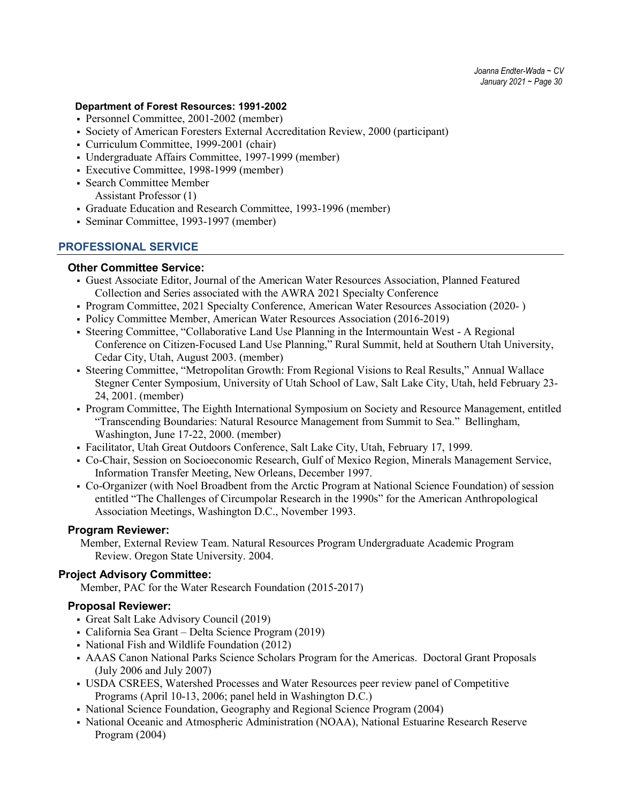*Joanna Endter-Wada ~ CV January 2021 ~ Page 30*

#### **Department of Forest Resources: 1991-2002**

- Personnel Committee, 2001-2002 (member)
- Society of American Foresters External Accreditation Review, 2000 (participant)
- Curriculum Committee, 1999-2001 (chair)
- Undergraduate Affairs Committee, 1997-1999 (member)
- Executive Committee, 1998-1999 (member)
- Search Committee Member Assistant Professor (1)
- Graduate Education and Research Committee, 1993-1996 (member)
- Seminar Committee, 1993-1997 (member)

### **PROFESSIONAL SERVICE**

#### **Other Committee Service:**

- Guest Associate Editor, Journal of the American Water Resources Association, Planned Featured Collection and Series associated with the AWRA 2021 Specialty Conference
- Program Committee, 2021 Specialty Conference, American Water Resources Association (2020- )
- Policy Committee Member, American Water Resources Association (2016-2019)
- Steering Committee, "Collaborative Land Use Planning in the Intermountain West A Regional Conference on Citizen-Focused Land Use Planning," Rural Summit, held at Southern Utah University, Cedar City, Utah, August 2003. (member)
- Steering Committee, "Metropolitan Growth: From Regional Visions to Real Results," Annual Wallace Stegner Center Symposium, University of Utah School of Law, Salt Lake City, Utah, held February 23- 24, 2001. (member)
- Program Committee, The Eighth International Symposium on Society and Resource Management, entitled "Transcending Boundaries: Natural Resource Management from Summit to Sea." Bellingham, Washington, June 17-22, 2000. (member)
- Facilitator, Utah Great Outdoors Conference, Salt Lake City, Utah, February 17, 1999.
- Co-Chair, Session on Socioeconomic Research, Gulf of Mexico Region, Minerals Management Service, Information Transfer Meeting, New Orleans, December 1997.
- Co-Organizer (with Noel Broadbent from the Arctic Program at National Science Foundation) of session entitled "The Challenges of Circumpolar Research in the 1990s" for the American Anthropological Association Meetings, Washington D.C., November 1993.

#### **Program Reviewer:**

Member, External Review Team. Natural Resources Program Undergraduate Academic Program Review. Oregon State University. 2004.

### **Project Advisory Committee:**

Member, PAC for the Water Research Foundation (2015-2017)

### **Proposal Reviewer:**

- Great Salt Lake Advisory Council (2019)
- California Sea Grant Delta Science Program (2019)
- National Fish and Wildlife Foundation (2012)
- AAAS Canon National Parks Science Scholars Program for the Americas. Doctoral Grant Proposals (July 2006 and July 2007)
- USDA CSREES, Watershed Processes and Water Resources peer review panel of Competitive Programs (April 10-13, 2006; panel held in Washington D.C.)
- National Science Foundation, Geography and Regional Science Program (2004)
- National Oceanic and Atmospheric Administration (NOAA), National Estuarine Research Reserve Program (2004)